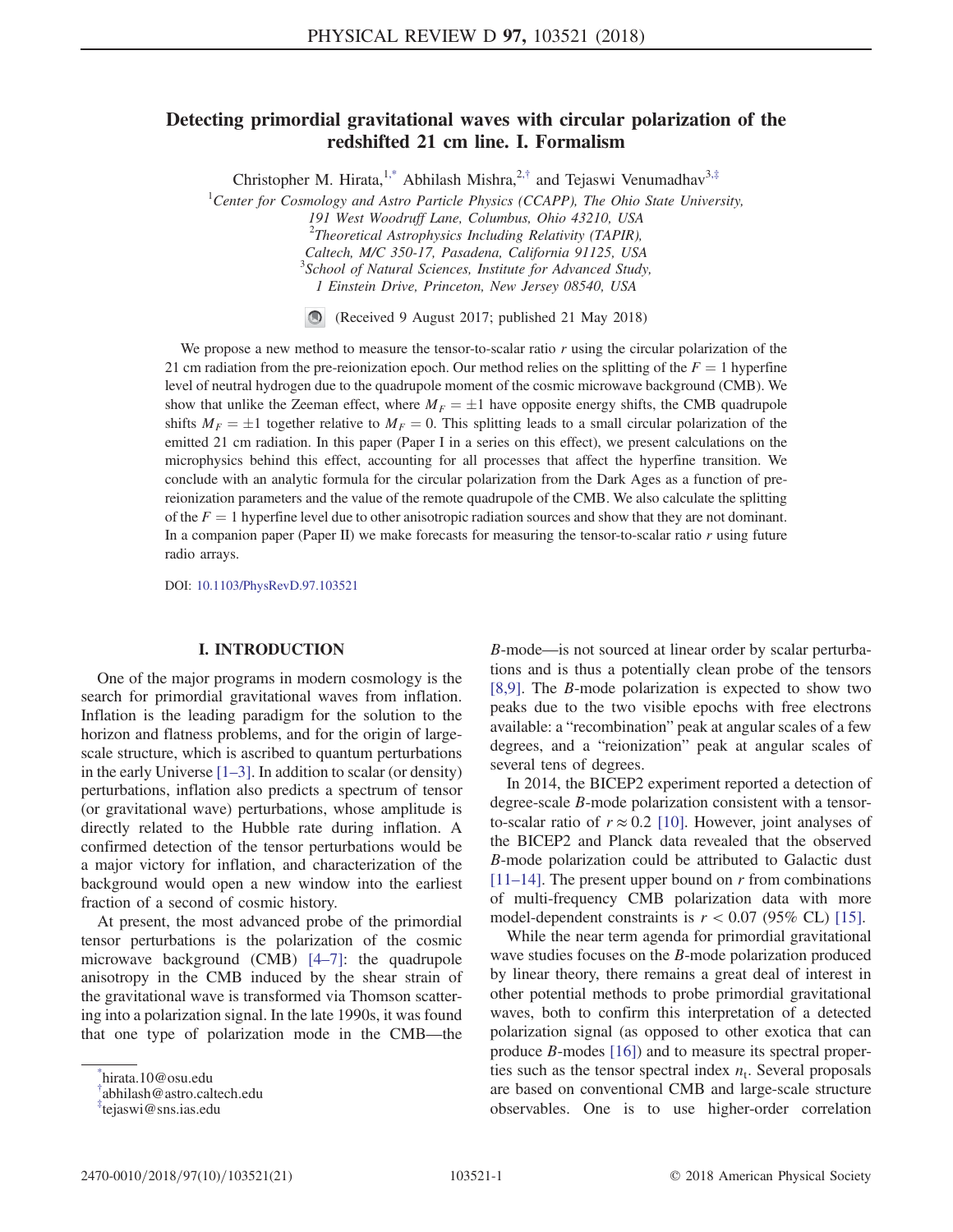# <span id="page-0-3"></span>Detecting primordial gravitational waves with circular polarization of the redshifted 21 cm line. I. Formalism

Christopher M. Hirata,<sup>1[,\\*](#page-0-0)</sup> Abhilash Mishra,<sup>2,[†](#page-0-1)</sup> and Tejaswi Venumadhav<sup>3,[‡](#page-0-2)</sup>

<sup>1</sup>Center for Cosmology and Astro Particle Physics (CCAPP), The Ohio State University,

191 West Woodruff Lane, Columbus, Ohio 43210, USA

 $^{2}$ Theoretical Astrophysics Including Relativity (TAPIR),

Caltech, M/C 350-17, Pasadena, California 91125, USA <sup>3</sup>School of Natural Sciences, Institute for Advanced Study,

1 Einstein Drive, Princeton, New Jersey 08540, USA

 $\bigcirc$ (Received 9 August 2017; published 21 May 2018)

We propose a new method to measure the tensor-to-scalar ratio  $r$  using the circular polarization of the 21 cm radiation from the pre-reionization epoch. Our method relies on the splitting of the  $F = 1$  hyperfine level of neutral hydrogen due to the quadrupole moment of the cosmic microwave background (CMB). We show that unlike the Zeeman effect, where  $M_F = \pm 1$  have opposite energy shifts, the CMB quadrupole<br>shifts  $M_{\text{eff}} = \pm 1$  together relative to  $M_{\text{eff}} = 0$ . This splitting leads to a small circular polarization of the shifts  $M_F = \pm 1$  together relative to  $M_F = 0$ . This splitting leads to a small circular polarization of the equitarily of the space of the effect), we present calculations on the emitted 21 cm radiation. In this paper (Paper I in a series on this effect), we present calculations on the microphysics behind this effect, accounting for all processes that affect the hyperfine transition. We conclude with an analytic formula for the circular polarization from the Dark Ages as a function of prereionization parameters and the value of the remote quadrupole of the CMB. We also calculate the splitting of the  $F = 1$  hyperfine level due to other anisotropic radiation sources and show that they are not dominant. In a companion paper (Paper II) we make forecasts for measuring the tensor-to-scalar ratio r using future radio arrays.

DOI: [10.1103/PhysRevD.97.103521](https://doi.org/10.1103/PhysRevD.97.103521)

# I. INTRODUCTION

One of the major programs in modern cosmology is the search for primordial gravitational waves from inflation. Inflation is the leading paradigm for the solution to the horizon and flatness problems, and for the origin of largescale structure, which is ascribed to quantum perturbations in the early Universe  $[1-3]$ . In addition to scalar (or density) perturbations, inflation also predicts a spectrum of tensor (or gravitational wave) perturbations, whose amplitude is directly related to the Hubble rate during inflation. A confirmed detection of the tensor perturbations would be a major victory for inflation, and characterization of the background would open a new window into the earliest fraction of a second of cosmic history.

At present, the most advanced probe of the primordial tensor perturbations is the polarization of the cosmic microwave background (CMB) [4–[7\]:](#page-19-1) the quadrupole anisotropy in the CMB induced by the shear strain of the gravitational wave is transformed via Thomson scattering into a polarization signal. In the late 1990s, it was found that one type of polarization mode in the CMB—the B-mode—is not sourced at linear order by scalar perturbations and is thus a potentially clean probe of the tensors [\[8,9\].](#page-19-2) The B-mode polarization is expected to show two peaks due to the two visible epochs with free electrons available: a "recombination" peak at angular scales of a few degrees, and a "reionization" peak at angular scales of several tens of degrees.

In 2014, the BICEP2 experiment reported a detection of degree-scale B-mode polarization consistent with a tensorto-scalar ratio of  $r \approx 0.2$  [\[10\].](#page-19-3) However, joint analyses of the BICEP2 and Planck data revealed that the observed B-mode polarization could be attributed to Galactic dust  $[11–14]$  $[11–14]$ . The present upper bound on r from combinations of multi-frequency CMB polarization data with more model-dependent constraints is  $r < 0.07$  (95% CL) [\[15\]](#page-19-5).

While the near term agenda for primordial gravitational wave studies focuses on the B-mode polarization produced by linear theory, there remains a great deal of interest in other potential methods to probe primordial gravitational waves, both to confirm this interpretation of a detected polarization signal (as opposed to other exotica that can produce B-modes [\[16\]](#page-19-6)) and to measure its spectral properties such as the tensor spectral index  $n_t$ . Several proposals are based on conventional CMB and large-scale structure observables. One is to use higher-order correlation

<span id="page-0-0"></span>[<sup>\\*</sup>](#page-0-3) hirata.10@osu.edu

<span id="page-0-1"></span>[<sup>†</sup>](#page-0-3) abhilash@astro.caltech.edu

<span id="page-0-2"></span>[<sup>‡</sup>](#page-0-3) tejaswi@sns.ias.edu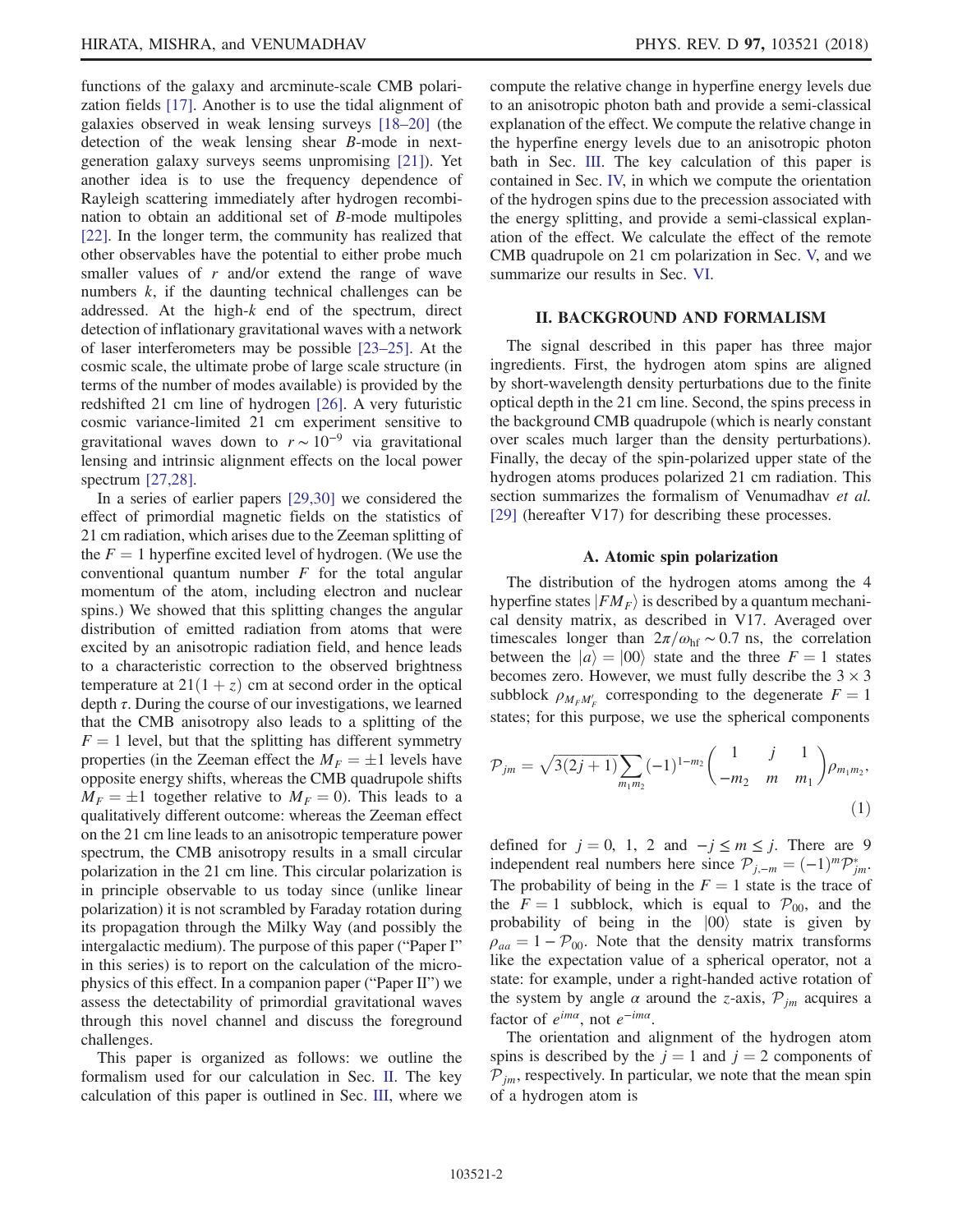functions of the galaxy and arcminute-scale CMB polarization fields [\[17\]](#page-19-7). Another is to use the tidal alignment of galaxies observed in weak lensing surveys [\[18](#page-19-8)–20] (the detection of the weak lensing shear B-mode in nextgeneration galaxy surveys seems unpromising [\[21\]\)](#page-19-9). Yet another idea is to use the frequency dependence of Rayleigh scattering immediately after hydrogen recombination to obtain an additional set of B-mode multipoles [\[22\]](#page-19-10). In the longer term, the community has realized that other observables have the potential to either probe much smaller values of  $r$  and/or extend the range of wave numbers k, if the daunting technical challenges can be addressed. At the high-k end of the spectrum, direct detection of inflationary gravitational waves with a network of laser interferometers may be possible [23–[25\].](#page-19-11) At the cosmic scale, the ultimate probe of large scale structure (in terms of the number of modes available) is provided by the redshifted 21 cm line of hydrogen [\[26\]](#page-19-12). A very futuristic cosmic variance-limited 21 cm experiment sensitive to gravitational waves down to  $r \sim 10^{-9}$  via gravitational lensing and intrinsic alignment effects on the local power spectrum [\[27,28\]](#page-19-13).

In a series of earlier papers [\[29,30\]](#page-19-14) we considered the effect of primordial magnetic fields on the statistics of 21 cm radiation, which arises due to the Zeeman splitting of the  $F = 1$  hyperfine excited level of hydrogen. (We use the conventional quantum number  $F$  for the total angular momentum of the atom, including electron and nuclear spins.) We showed that this splitting changes the angular distribution of emitted radiation from atoms that were excited by an anisotropic radiation field, and hence leads to a characteristic correction to the observed brightness temperature at  $21(1 + z)$  cm at second order in the optical depth  $\tau$ . During the course of our investigations, we learned that the CMB anisotropy also leads to a splitting of the  $F = 1$  level, but that the splitting has different symmetry properties (in the Zeeman effect the  $M_F = \pm 1$  levels have<br>opposite energy shifts, whereas the CMB quadrupole shifts opposite energy shifts, whereas the CMB quadrupole shifts  $M_F = \pm 1$  together relative to  $M_F = 0$ ). This leads to a qualitatively different outcome: whereas the Zeeman effect qualitatively different outcome: whereas the Zeeman effect on the 21 cm line leads to an anisotropic temperature power spectrum, the CMB anisotropy results in a small circular polarization in the 21 cm line. This circular polarization is in principle observable to us today since (unlike linear polarization) it is not scrambled by Faraday rotation during its propagation through the Milky Way (and possibly the intergalactic medium). The purpose of this paper ("Paper I" in this series) is to report on the calculation of the microphysics of this effect. In a companion paper ("Paper II") we assess the detectability of primordial gravitational waves through this novel channel and discuss the foreground challenges.

This paper is organized as follows: we outline the formalism used for our calculation in Sec. [II](#page-1-0). The key calculation of this paper is outlined in Sec. [III,](#page-3-0) where we compute the relative change in hyperfine energy levels due to an anisotropic photon bath and provide a semi-classical explanation of the effect. We compute the relative change in the hyperfine energy levels due to an anisotropic photon bath in Sec. [III](#page-3-0). The key calculation of this paper is contained in Sec. [IV,](#page-5-0) in which we compute the orientation of the hydrogen spins due to the precession associated with the energy splitting, and provide a semi-classical explanation of the effect. We calculate the effect of the remote CMB quadrupole on 21 cm polarization in Sec. [V,](#page-8-0) and we summarize our results in Sec. [VI](#page-11-0).

# II. BACKGROUND AND FORMALISM

<span id="page-1-0"></span>The signal described in this paper has three major ingredients. First, the hydrogen atom spins are aligned by short-wavelength density perturbations due to the finite optical depth in the 21 cm line. Second, the spins precess in the background CMB quadrupole (which is nearly constant over scales much larger than the density perturbations). Finally, the decay of the spin-polarized upper state of the hydrogen atoms produces polarized 21 cm radiation. This section summarizes the formalism of Venumadhav et al. [\[29\]](#page-19-14) (hereafter V17) for describing these processes.

#### A. Atomic spin polarization

The distribution of the hydrogen atoms among the 4 hyperfine states  $|FM_F\rangle$  is described by a quantum mechanical density matrix, as described in V17. Averaged over timescales longer than  $2\pi/\omega_{\text{hf}} \sim 0.7$  ns, the correlation between the  $|a\rangle = |00\rangle$  state and the three  $F = 1$  states becomes zero. However, we must fully describe the  $3 \times 3$ subblock  $\rho_{M_F M'_F}$  corresponding to the degenerate  $F = 1$ <br>states for this purpose, we use the spherical components states; for this purpose, we use the spherical components

<span id="page-1-1"></span>
$$
\mathcal{P}_{jm} = \sqrt{3(2j+1)} \sum_{m_1 m_2} (-1)^{1-m_2} \begin{pmatrix} 1 & j & 1 \ -m_2 & m & m_1 \end{pmatrix} \rho_{m_1 m_2},\tag{1}
$$

defined for  $j = 0, 1, 2$  and  $-j \le m \le j$ . There are 9 independent real numbers here since  $\mathcal{P}_{j,-m} = (-1)^m \mathcal{P}_{jm}^*$ .<br>The probability of being in the  $F-1$  state is the trace of The probability of being in the  $F = 1$  state is the trace of the  $F = 1$  subblock, which is equal to  $\mathcal{P}_{00}$ , and the probability of being in the  $|00\rangle$  state is given by  $\rho_{aa} = 1 - P_{00}$ . Note that the density matrix transforms like the expectation value of a spherical operator, not a state: for example, under a right-handed active rotation of the system by angle  $\alpha$  around the z-axis,  $\mathcal{P}_{im}$  acquires a factor of  $e^{im\alpha}$ , not  $e^{-im\alpha}$ .

The orientation and alignment of the hydrogen atom spins is described by the  $j = 1$  and  $j = 2$  components of  $P_{jm}$ , respectively. In particular, we note that the mean spin of a hydrogen atom is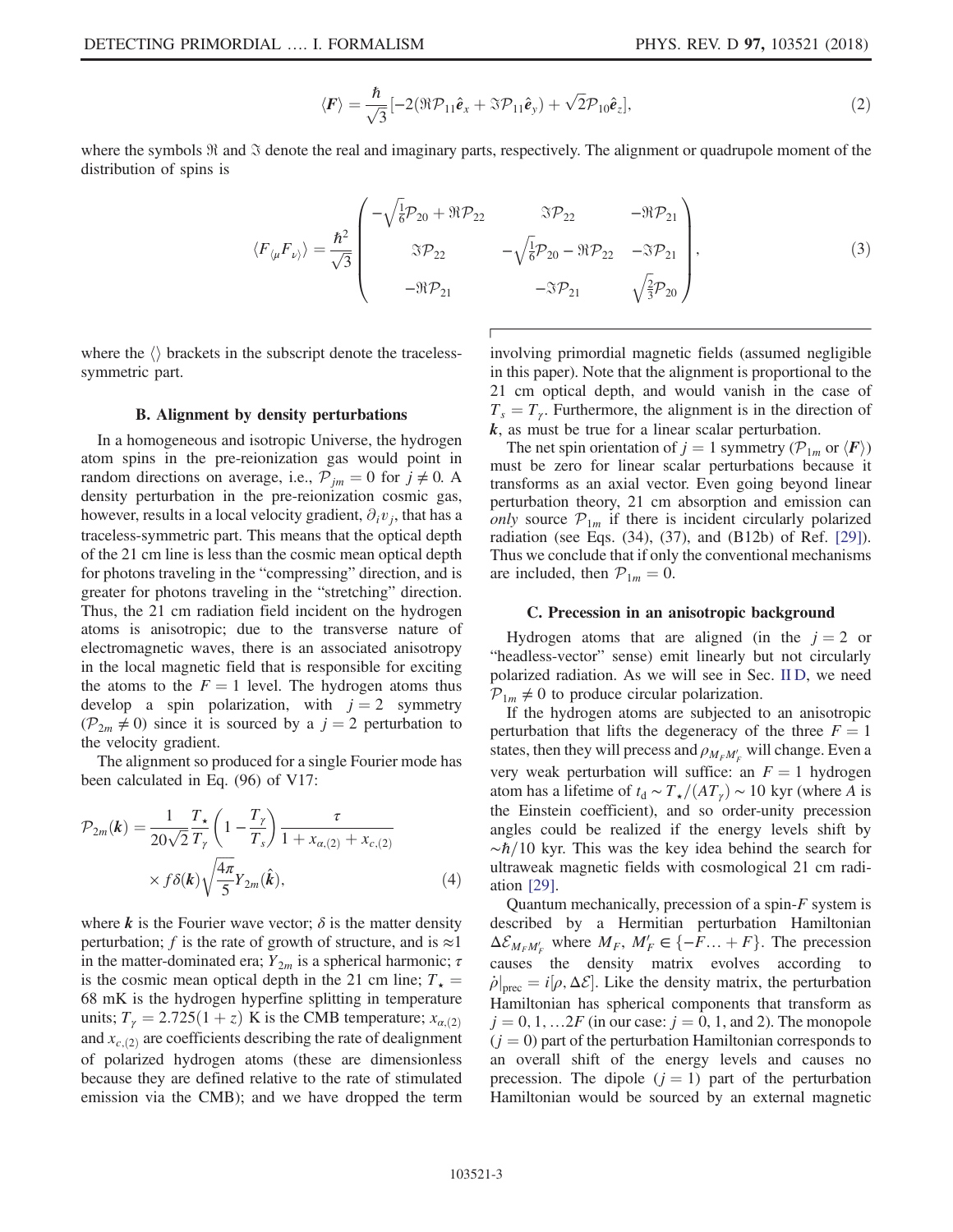$$
\langle \boldsymbol{F} \rangle = \frac{\hbar}{\sqrt{3}} \left[ -2(\Re \mathcal{P}_{11} \hat{\boldsymbol{e}}_x + \Im \mathcal{P}_{11} \hat{\boldsymbol{e}}_y) + \sqrt{2} \mathcal{P}_{10} \hat{\boldsymbol{e}}_z \right],\tag{2}
$$

where the symbols  $\Re$  and  $\Im$  denote the real and imaginary parts, respectively. The alignment or quadrupole moment of the distribution of spins is

$$
\langle F_{\langle \mu} F_{\nu \rangle} \rangle = \frac{\hbar^2}{\sqrt{3}} \begin{pmatrix} -\sqrt{\frac{1}{6}} \mathcal{P}_{20} + \Re \mathcal{P}_{22} & \Im \mathcal{P}_{22} & -\Re \mathcal{P}_{21} \\ \Im \mathcal{P}_{22} & -\sqrt{\frac{1}{6}} \mathcal{P}_{20} - \Re \mathcal{P}_{22} & -\Im \mathcal{P}_{21} \\ -\Re \mathcal{P}_{21} & -\Im \mathcal{P}_{21} & \sqrt{\frac{2}{3}} \mathcal{P}_{20} \end{pmatrix}, \tag{3}
$$

where the  $\langle \rangle$  brackets in the subscript denote the tracelesssymmetric part.

### B. Alignment by density perturbations

In a homogeneous and isotropic Universe, the hydrogen atom spins in the pre-reionization gas would point in random directions on average, i.e.,  $P_{jm} = 0$  for  $j \neq 0$ . A density perturbation in the pre-reionization cosmic gas, however, results in a local velocity gradient,  $\partial_i v_i$ , that has a traceless-symmetric part. This means that the optical depth of the 21 cm line is less than the cosmic mean optical depth for photons traveling in the "compressing" direction, and is greater for photons traveling in the "stretching" direction. Thus, the 21 cm radiation field incident on the hydrogen atoms is anisotropic; due to the transverse nature of electromagnetic waves, there is an associated anisotropy in the local magnetic field that is responsible for exciting the atoms to the  $F = 1$  level. The hydrogen atoms thus develop a spin polarization, with  $j = 2$  symmetry  $(\mathcal{P}_{2m} \neq 0)$  since it is sourced by a  $j = 2$  perturbation to the velocity gradient.

<span id="page-2-0"></span>The alignment so produced for a single Fourier mode has been calculated in Eq. (96) of V17:

$$
\mathcal{P}_{2m}(\boldsymbol{k}) = \frac{1}{20\sqrt{2}} \frac{T_{\star}}{T_{\gamma}} \left(1 - \frac{T_{\gamma}}{T_{s}}\right) \frac{\tau}{1 + x_{\alpha,(2)} + x_{c,(2)}}
$$

$$
\times f\delta(\boldsymbol{k}) \sqrt{\frac{4\pi}{5}} Y_{2m}(\boldsymbol{\hat{k}}), \tag{4}
$$

where k is the Fourier wave vector;  $\delta$  is the matter density perturbation; f is the rate of growth of structure, and is  $\approx$ 1 in the matter-dominated era;  $Y_{2m}$  is a spherical harmonic;  $\tau$ is the cosmic mean optical depth in the 21 cm line;  $T_{\star}$  = 68 mK is the hydrogen hyperfine splitting in temperature units;  $T_{\gamma} = 2.725(1 + z)$  K is the CMB temperature;  $x_{\alpha,(2)}$ and  $x_{c,(2)}$  are coefficients describing the rate of dealignment of polarized hydrogen atoms (these are dimensionless because they are defined relative to the rate of stimulated emission via the CMB); and we have dropped the term involving primordial magnetic fields (assumed negligible in this paper). Note that the alignment is proportional to the 21 cm optical depth, and would vanish in the case of  $T_s = T_\gamma$ . Furthermore, the alignment is in the direction of  $k$ , as must be true for a linear scalar perturbation.

The net spin orientation of  $j = 1$  symmetry ( $\mathcal{P}_{1m}$  or  $\langle \mathbf{F} \rangle$ ) must be zero for linear scalar perturbations because it transforms as an axial vector. Even going beyond linear perturbation theory, 21 cm absorption and emission can only source  $\mathcal{P}_{1m}$  if there is incident circularly polarized radiation (see Eqs. (34), (37), and (B12b) of Ref. [\[29\]](#page-19-14)). Thus we conclude that if only the conventional mechanisms are included, then  $\mathcal{P}_{1m} = 0$ .

### C. Precession in an anisotropic background

Hydrogen atoms that are aligned (in the  $j = 2$  or "headless-vector" sense) emit linearly but not circularly polarized radiation. As we will see in Sec. [II D](#page-3-1), we need  $\mathcal{P}_{1m} \neq 0$  to produce circular polarization.

If the hydrogen atoms are subjected to an anisotropic perturbation that lifts the degeneracy of the three  $F = 1$ states, then they will precess and  $\rho_{M_F M_F'}$  will change. Even a very weak perturbation will suffice: an  $F = 1$  hydrogen atom has a lifetime of  $t_d \sim T_{\star}/(AT_{\gamma}) \sim 10$  kyr (where A is the Einstein coefficient), and so order-unity precession angles could be realized if the energy levels shift by  $~\sim \hbar/10$  kyr. This was the key idea behind the search for ultraweak magnetic fields with cosmological 21 cm radiation [\[29\].](#page-19-14)

Quantum mechanically, precession of a spin- $F$  system is described by a Hermitian perturbation Hamiltonian  $\Delta \mathcal{E}_{M_F M'_F}$  where  $M_F$ ,  $M'_F \in \{-F \dots + F\}$ . The precession causes the density matrix evolves according to  $\dot{\rho}|_{\text{prec}} = i[\rho, \Delta \mathcal{E}]$ . Like the density matrix, the perturbation Hamiltonian has spherical components that transform as  $j = 0, 1, \ldots 2F$  (in our case:  $j = 0, 1,$  and 2). The monopole  $(j = 0)$  part of the perturbation Hamiltonian corresponds to an overall shift of the energy levels and causes no precession. The dipole  $(j = 1)$  part of the perturbation Hamiltonian would be sourced by an external magnetic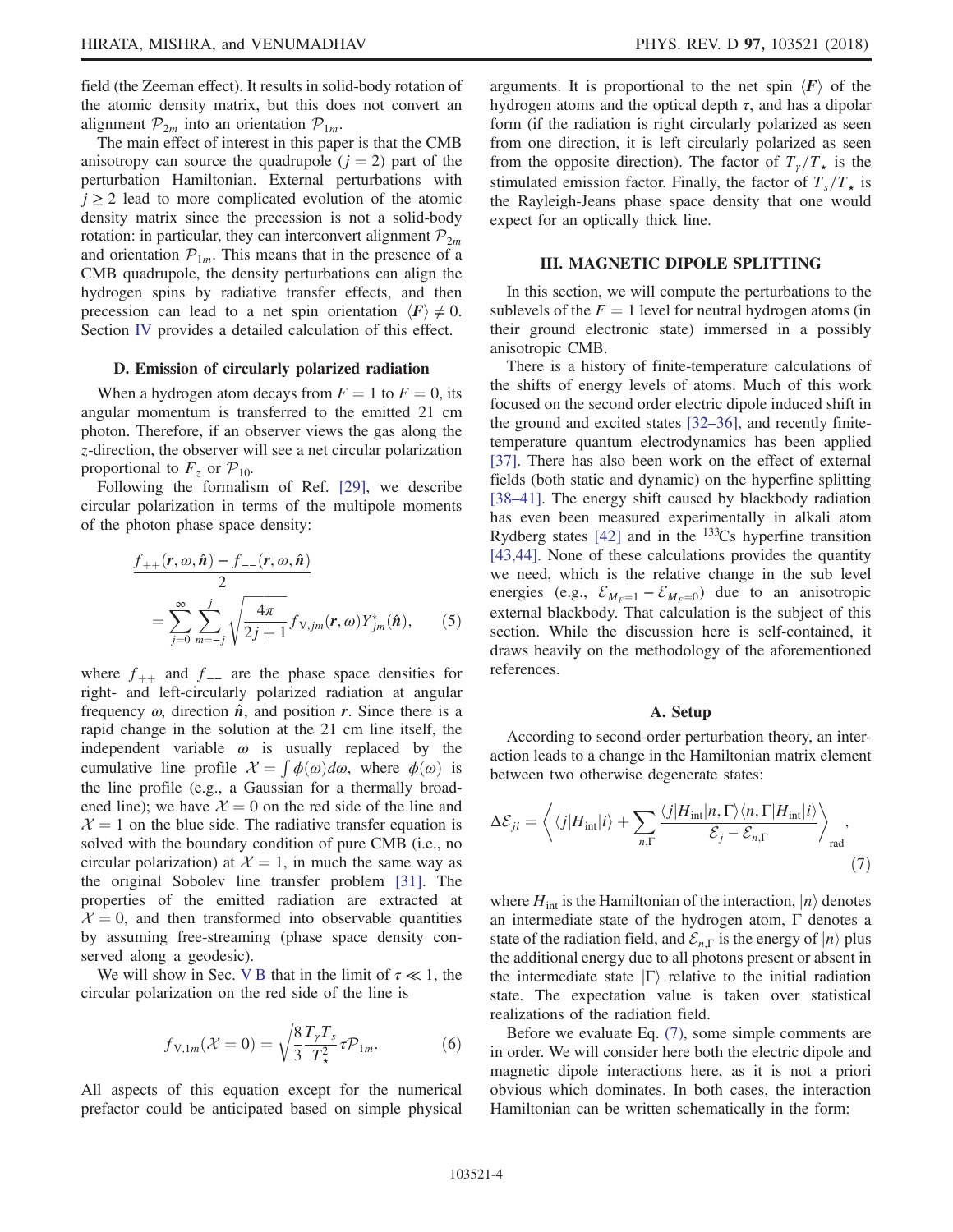The main effect of interest in this paper is that the CMB anisotropy can source the quadrupole  $(j = 2)$  part of the perturbation Hamiltonian. External perturbations with  $j \geq 2$  lead to more complicated evolution of the atomic density matrix since the precession is not a solid-body rotation: in particular, they can interconvert alignment  $P_{2m}$ and orientation  $\mathcal{P}_{1m}$ . This means that in the presence of a CMB quadrupole, the density perturbations can align the hydrogen spins by radiative transfer effects, and then precession can lead to a net spin orientation  $\langle \mathbf{F} \rangle \neq 0$ . Section [IV](#page-5-0) provides a detailed calculation of this effect.

### <span id="page-3-1"></span>D. Emission of circularly polarized radiation

When a hydrogen atom decays from  $F = 1$  to  $F = 0$ , its angular momentum is transferred to the emitted 21 cm photon. Therefore, if an observer views the gas along the z-direction, the observer will see a net circular polarization proportional to  $F_z$  or  $\mathcal{P}_{10}$ .

<span id="page-3-4"></span>Following the formalism of Ref. [\[29\]](#page-19-14), we describe circular polarization in terms of the multipole moments of the photon phase space density:

$$
\frac{f_{++}(\mathbf{r}, \omega, \hat{\mathbf{n}}) - f_{--}(\mathbf{r}, \omega, \hat{\mathbf{n}})}{2}
$$
\n
$$
= \sum_{j=0}^{\infty} \sum_{m=-j}^{j} \sqrt{\frac{4\pi}{2j+1}} f_{V,jm}(\mathbf{r}, \omega) Y_{jm}^*(\hat{\mathbf{n}}), \qquad (5)
$$

where  $f_{++}$  and  $f_{--}$  are the phase space densities for right- and left-circularly polarized radiation at angular frequency  $\omega$ , direction  $\hat{\boldsymbol{n}}$ , and position  $\boldsymbol{r}$ . Since there is a rapid change in the solution at the 21 cm line itself, the independent variable  $\omega$  is usually replaced by the cumulative line profile  $\mathcal{X} = \int \phi(\omega) d\omega$ , where  $\phi(\omega)$  is<br>the line profile (e.g., a Gaussian for a thermally broadthe line profile (e.g., a Gaussian for a thermally broadened line); we have  $\mathcal{X} = 0$  on the red side of the line and  $X = 1$  on the blue side. The radiative transfer equation is solved with the boundary condition of pure CMB (i.e., no circular polarization) at  $\mathcal{X} = 1$ , in much the same way as the original Sobolev line transfer problem [\[31\]](#page-19-15). The properties of the emitted radiation are extracted at  $\mathcal{X} = 0$ , and then transformed into observable quantities by assuming free-streaming (phase space density conserved along a geodesic).

We will show in Sec. [V B](#page-10-0) that in the limit of  $\tau \ll 1$ , the circular polarization on the red side of the line is

$$
f_{V,1m}(\mathcal{X}=0) = \sqrt{\frac{8}{3}} \frac{T_{\gamma} T_s}{T_{\star}^2} \tau \mathcal{P}_{1m}.
$$
 (6)

All aspects of this equation except for the numerical prefactor could be anticipated based on simple physical arguments. It is proportional to the net spin  $\langle F \rangle$  of the hydrogen atoms and the optical depth  $\tau$ , and has a dipolar form (if the radiation is right circularly polarized as seen from one direction, it is left circularly polarized as seen from the opposite direction). The factor of  $T_{\gamma}/T_{\star}$  is the stimulated emission factor. Finally, the factor of  $T_s/T_{\star}$  is the Rayleigh-Jeans phase space density that one would expect for an optically thick line.

#### III. MAGNETIC DIPOLE SPLITTING

<span id="page-3-0"></span>In this section, we will compute the perturbations to the sublevels of the  $F = 1$  level for neutral hydrogen atoms (in their ground electronic state) immersed in a possibly anisotropic CMB.

There is a history of finite-temperature calculations of the shifts of energy levels of atoms. Much of this work focused on the second order electric dipole induced shift in the ground and excited states [\[32](#page-19-16)–36], and recently finitetemperature quantum electrodynamics has been applied [\[37\]](#page-19-17). There has also been work on the effect of external fields (both static and dynamic) on the hyperfine splitting [\[38](#page-20-0)–41]. The energy shift caused by blackbody radiation has even been measured experimentally in alkali atom Rydberg states  $[42]$  and in the <sup>133</sup>Cs hyperfine transition [\[43,44\]](#page-20-2). None of these calculations provides the quantity we need, which is the relative change in the sub level energies (e.g.,  $\mathcal{E}_{M_F=1} - \mathcal{E}_{M_F=0}$ ) due to an anisotropic external blackbody. That calculation is the subject of this section. While the discussion here is self-contained, it draws heavily on the methodology of the aforementioned references.

#### A. Setup

<span id="page-3-2"></span>According to second-order perturbation theory, an interaction leads to a change in the Hamiltonian matrix element between two otherwise degenerate states:

$$
\Delta \mathcal{E}_{ji} = \left\langle \langle j | H_{\text{int}} | i \rangle + \sum_{n,\Gamma} \frac{\langle j | H_{\text{int}} | n, \Gamma \rangle \langle n, \Gamma | H_{\text{int}} | i \rangle}{\mathcal{E}_j - \mathcal{E}_{n,\Gamma}} \right\rangle_{\text{rad}},
$$
\n(7)

where  $H_{int}$  is the Hamiltonian of the interaction,  $|n\rangle$  denotes an intermediate state of the hydrogen atom,  $\Gamma$  denotes a state of the radiation field, and  $\mathcal{E}_{n,\Gamma}$  is the energy of  $|n\rangle$  plus the additional energy due to all photons present or absent in the intermediate state  $|\Gamma\rangle$  relative to the initial radiation state. The expectation value is taken over statistical realizations of the radiation field.

<span id="page-3-3"></span>Before we evaluate Eq. [\(7\)](#page-3-2), some simple comments are in order. We will consider here both the electric dipole and magnetic dipole interactions here, as it is not a priori obvious which dominates. In both cases, the interaction Hamiltonian can be written schematically in the form: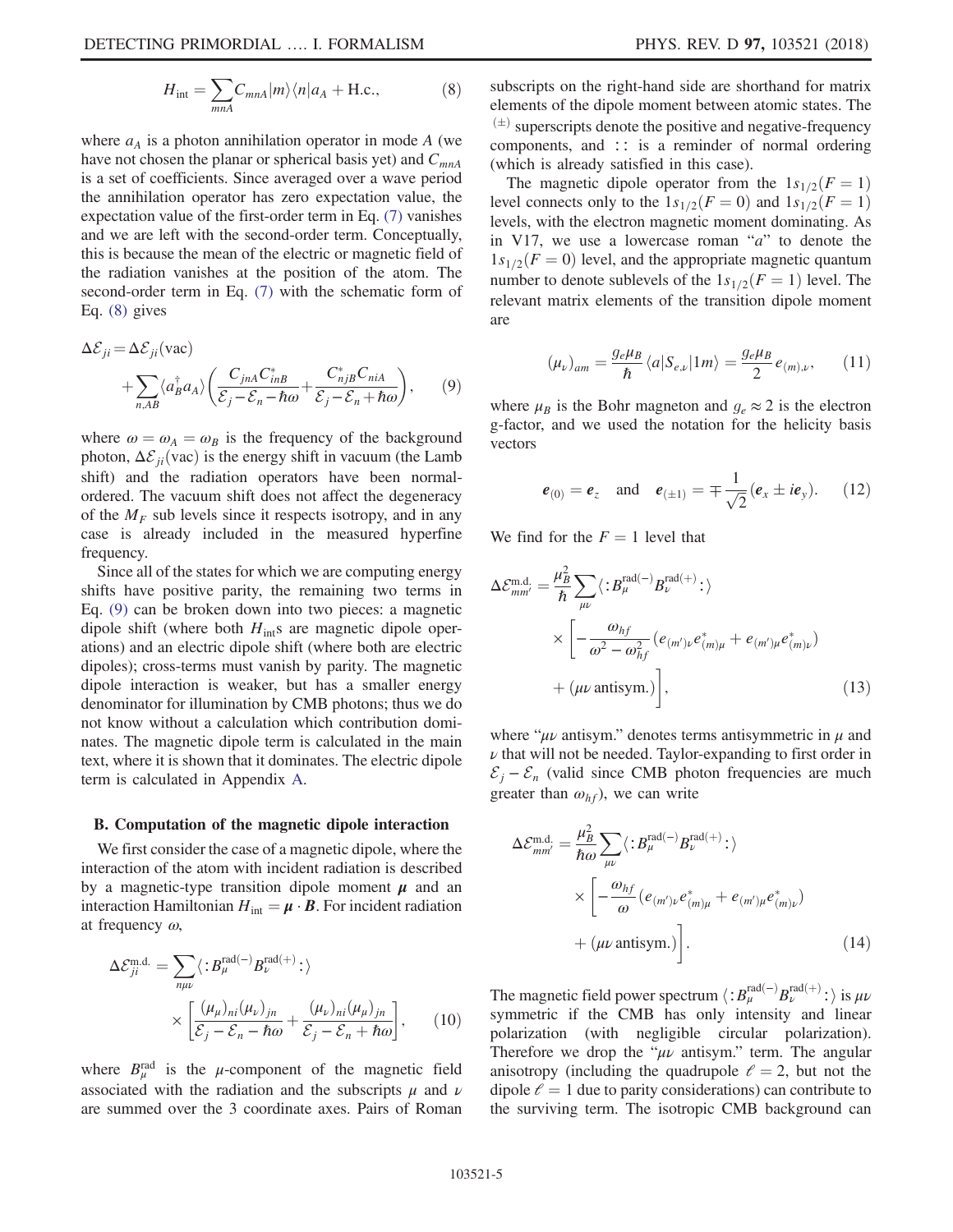$$
H_{\text{int}} = \sum_{mnA} C_{mnA} |m\rangle \langle n| a_A + \text{H.c.}, \tag{8}
$$

where  $a<sub>A</sub>$  is a photon annihilation operator in mode A (we have not chosen the planar or spherical basis yet) and  $C_{mnA}$ is a set of coefficients. Since averaged over a wave period the annihilation operator has zero expectation value, the expectation value of the first-order term in Eq. [\(7\)](#page-3-2) vanishes and we are left with the second-order term. Conceptually, this is because the mean of the electric or magnetic field of the radiation vanishes at the position of the atom. The second-order term in Eq. [\(7\)](#page-3-2) with the schematic form of Eq. [\(8\)](#page-3-3) gives

<span id="page-4-0"></span>
$$
\Delta \mathcal{E}_{ji} = \Delta \mathcal{E}_{ji} \text{(vac)} + \sum_{n,AB} \langle a_B^{\dagger} a_A \rangle \left( \frac{C_{jnA} C_{inB}^*}{\mathcal{E}_j - \mathcal{E}_n - \hbar \omega} + \frac{C_{njB}^* C_{niA}}{\mathcal{E}_j - \mathcal{E}_n + \hbar \omega} \right), \qquad (9)
$$

where  $\omega = \omega_A = \omega_B$  is the frequency of the background photon,  $\Delta \mathcal{E}_{ii}(\text{vac})$  is the energy shift in vacuum (the Lamb shift) and the radiation operators have been normalordered. The vacuum shift does not affect the degeneracy of the  $M_F$  sub levels since it respects isotropy, and in any case is already included in the measured hyperfine frequency.

Since all of the states for which we are computing energy shifts have positive parity, the remaining two terms in Eq. [\(9\)](#page-4-0) can be broken down into two pieces: a magnetic dipole shift (where both  $H_{int}$ s are magnetic dipole operations) and an electric dipole shift (where both are electric dipoles); cross-terms must vanish by parity. The magnetic dipole interaction is weaker, but has a smaller energy denominator for illumination by CMB photons; thus we do not know without a calculation which contribution dominates. The magnetic dipole term is calculated in the main text, where it is shown that it dominates. The electric dipole term is calculated in Appendix [A.](#page-11-1)

# <span id="page-4-2"></span>B. Computation of the magnetic dipole interaction

<span id="page-4-1"></span>We first consider the case of a magnetic dipole, where the interaction of the atom with incident radiation is described by a magnetic-type transition dipole moment  $\mu$  and an interaction Hamiltonian  $H_{int} = \mu \cdot \mathbf{B}$ . For incident radiation at frequency  $\omega$ ,

$$
\Delta \mathcal{E}_{ji}^{\text{m.d.}} = \sum_{n\mu\nu} \langle :B_{\mu}^{\text{rad}(-)} B_{\nu}^{\text{rad}(+)}:\rangle
$$

$$
\times \left[\frac{(\mu_{\mu})_{ni}(\mu_{\nu})_{jn}}{\mathcal{E}_{j} - \mathcal{E}_{n} - \hbar \omega} + \frac{(\mu_{\nu})_{ni}(\mu_{\mu})_{jn}}{\mathcal{E}_{j} - \mathcal{E}_{n} + \hbar \omega}\right], \qquad (10)
$$

where  $B_{\mu}^{\text{rad}}$  is the  $\mu$ -component of the magnetic field associated with the radiation and the subscripts  $\mu$  and  $\nu$ are summed over the 3 coordinate axes. Pairs of Roman subscripts on the right-hand side are shorthand for matrix elements of the dipole moment between atomic states. The  $(1)$  superscripts denote the positive and negative-frequency components, and ∶∶ is a reminder of normal ordering (which is already satisfied in this case).

The magnetic dipole operator from the  $1s_{1/2}(F = 1)$ level connects only to the  $1s_{1/2}(F = 0)$  and  $1s_{1/2}(F = 1)$ levels, with the electron magnetic moment dominating. As in V17, we use a lowercase roman " $a$ " to denote the  $1s_{1/2}(F = 0)$  level, and the appropriate magnetic quantum number to denote sublevels of the  $1s_{1/2}(F = 1)$  level. The relevant matrix elements of the transition dipole moment are

$$
(\mu_{\nu})_{am} = \frac{g_e \mu_B}{\hbar} \langle a | S_{e,\nu} | 1m \rangle = \frac{g_e \mu_B}{2} e_{(m),\nu}, \qquad (11)
$$

where  $\mu_B$  is the Bohr magneton and  $g_e \approx 2$  is the electron g-factor, and we used the notation for the helicity basis vectors

$$
e_{(0)} = e_z
$$
 and  $e_{(\pm 1)} = \mp \frac{1}{\sqrt{2}} (e_x \pm i e_y).$  (12)

<span id="page-4-3"></span>We find for the  $F = 1$  level that

$$
\Delta \mathcal{E}_{mm'}^{\text{m.d.}} = \frac{\mu_B^2}{\hbar} \sum_{\mu\nu} \langle :B_{\mu}^{\text{rad}(-)} B_{\nu}^{\text{rad}(+)}: \rangle
$$
  
 
$$
\times \left[ -\frac{\omega_{hf}}{\omega^2 - \omega_{hf}^2} (e_{(m')\nu} e_{(m)\mu}^* + e_{(m')\mu} e_{(m)\nu}^*) + (\mu\nu \text{ antisym.}) \right], \qquad (13)
$$

where " $\mu\nu$  antisym." denotes terms antisymmetric in  $\mu$  and  $\nu$  that will not be needed. Taylor-expanding to first order in  $\mathcal{E}_i - \mathcal{E}_n$  (valid since CMB photon frequencies are much greater than  $\omega_{hf}$ ), we can write

$$
\Delta \mathcal{E}_{mm'}^{\text{m.d.}} = \frac{\mu_B^2}{\hbar \omega} \sum_{\mu\nu} \langle : B_{\mu}^{\text{rad}(-)} B_{\nu}^{\text{rad}(+)} : \rangle
$$
  
 
$$
\times \left[ -\frac{\omega_{hf}}{\omega} \left( e_{(m')\nu} e_{(m)\mu}^* + e_{(m')\mu} e_{(m)\nu}^* \right) + (\mu \nu \text{ antisym.}) \right]. \tag{14}
$$

The magnetic field power spectrum  $\langle :B_{\mu}^{\text{rad}(-)}B_{\nu}^{\text{rad}(+)}: \rangle$  is  $\mu\nu$ <br>symmetric, if the CMB has only intensity and linear symmetric if the CMB has only intensity and linear polarization (with negligible circular polarization). Therefore we drop the " $\mu\nu$  antisym." term. The angular anisotropy (including the quadrupole  $\ell = 2$ , but not the dipole  $\ell = 1$  due to parity considerations) can contribute to the surviving term. The isotropic CMB background can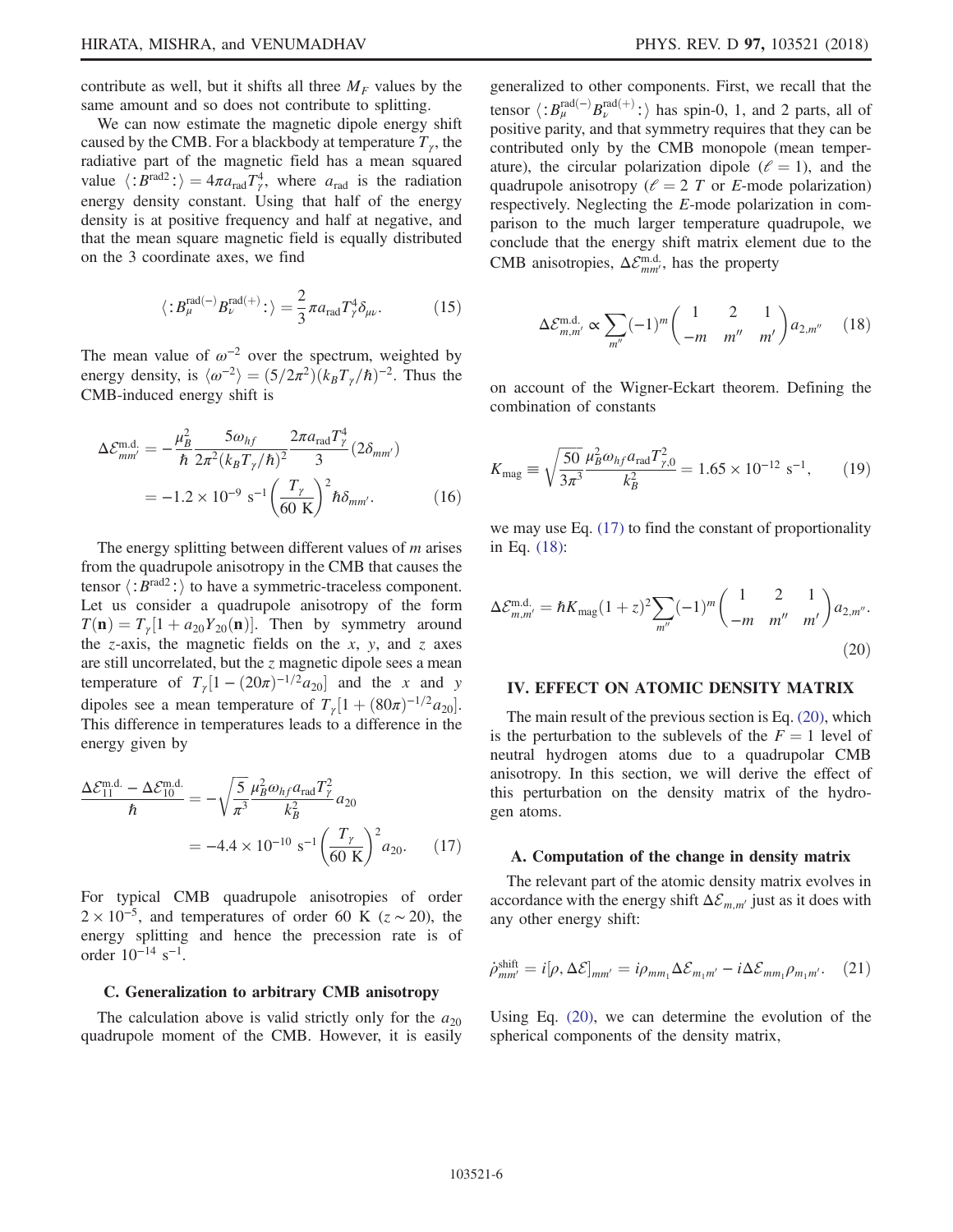contribute as well, but it shifts all three  $M_F$  values by the same amount and so does not contribute to splitting.

We can now estimate the magnetic dipole energy shift caused by the CMB. For a blackbody at temperature  $T_{\gamma}$ , the radiative part of the magnetic field has a mean squared value  $\langle :B^{\text{rad}2}: \rangle = 4\pi a_{\text{rad}} T_f^4$ , where  $a_{\text{rad}}$  is the radiation<br>energy density constant. Heing that half of the energy energy density constant. Using that half of the energy density is at positive frequency and half at negative, and that the mean square magnetic field is equally distributed on the 3 coordinate axes, we find

<span id="page-5-4"></span>
$$
\langle :B_{\mu}^{\text{rad}(-)}B_{\nu}^{\text{rad}(+)}: \rangle = \frac{2}{3}\pi a_{\text{rad}}T_{\gamma}^{4}\delta_{\mu\nu}.
$$
 (15)

The mean value of  $\omega^{-2}$  over the spectrum, weighted by energy density, is  $\langle \omega^{-2} \rangle = (5/2\pi^2)(k_B T_\gamma/\hbar)^{-2}$ . Thus the CMB-induced energy shift is

$$
\Delta \mathcal{E}_{mm'}^{\text{m.d.}} = -\frac{\mu_B^2}{\hbar} \frac{5\omega_{hf}}{2\pi^2 (k_B T_\gamma/\hbar)^2} \frac{2\pi a_{\text{rad}} T_\gamma^4}{3} (2\delta_{mm'})
$$
  
= -1.2 × 10<sup>-9</sup> s<sup>-1</sup>  $\left(\frac{T_\gamma}{60 \text{ K}}\right)^2 \hbar \delta_{mm'}$ . (16)

The energy splitting between different values of  $m$  arises from the quadrupole anisotropy in the CMB that causes the tensor  $\langle :B^{\text{rad2}}: \rangle$  to have a symmetric-traceless component. Let us consider a quadrupole anisotropy of the form  $T(\mathbf{n}) = T_{\gamma} [1 + a_{20}Y_{20}(\mathbf{n})]$ . Then by symmetry around the z-axis, the magnetic fields on the x, y, and z axes are still uncorrelated, but the z magnetic dipole sees a mean temperature of  $T<sub>\gamma</sub>[1-(20\pi)^{-1/2}a_{20}]$  and the x and y dipoles see a mean temperature of  $T_{\gamma} [1 + (80\pi)^{-1/2} a_{20}]$ . This difference in temperatures leads to a difference in the energy given by

<span id="page-5-1"></span>
$$
\frac{\Delta \mathcal{E}_{11}^{\text{m.d.}} - \Delta \mathcal{E}_{10}^{\text{m.d.}}}{\hbar} = -\sqrt{\frac{5}{\pi^3}} \frac{\mu_B^2 \omega_{hf} a_{\text{rad}} T_\gamma^2}{k_B^2} a_{20}
$$

$$
= -4.4 \times 10^{-10} \text{ s}^{-1} \left(\frac{T_\gamma}{60 \text{ K}}\right)^2 a_{20}. \tag{17}
$$

For typical CMB quadrupole anisotropies of order  $2 \times 10^{-5}$ , and temperatures of order 60 K ( $z \sim 20$ ), the energy splitting and hence the precession rate is of order  $10^{-14}$  s<sup>-1</sup>.

#### C. Generalization to arbitrary CMB anisotropy

The calculation above is valid strictly only for the  $a_{20}$ quadrupole moment of the CMB. However, it is easily

generalized to other components. First, we recall that the tensor  $\langle :B_{\mu}^{\text{rad}(-)}B_{\nu}^{\text{rad}(+)}: \rangle$  has spin-0, 1, and 2 parts, all of nositive parity and that symmetry requires that they can be positive parity, and that symmetry requires that they can be contributed only by the CMB monopole (mean temperature), the circular polarization dipole ( $\ell = 1$ ), and the quadrupole anisotropy ( $\ell = 2$  T or E-mode polarization) respectively. Neglecting the E-mode polarization in comparison to the much larger temperature quadrupole, we conclude that the energy shift matrix element due to the CMB anisotropies,  $\Delta \mathcal{E}_{mm'}^{\text{m.d.}}$ , has the property

<span id="page-5-2"></span>
$$
\Delta \mathcal{E}_{m,m'}^{\text{m.d.}} \propto \sum_{m''} (-1)^m \begin{pmatrix} 1 & 2 & 1 \\ -m & m'' & m' \end{pmatrix} a_{2,m''}
$$
 (18)

on account of the Wigner-Eckart theorem. Defining the combination of constants

$$
K_{\text{mag}} \equiv \sqrt{\frac{50}{3\pi^3}} \frac{\mu_B^2 \omega_{hf} a_{\text{rad}} T_{\gamma,0}^2}{k_B^2} = 1.65 \times 10^{-12} \text{ s}^{-1},\qquad(19)
$$

<span id="page-5-3"></span>we may use Eq. [\(17\)](#page-5-1) to find the constant of proportionality in Eq. [\(18\):](#page-5-2)

<span id="page-5-0"></span>
$$
\Delta \mathcal{E}_{m,m'}^{\text{m.d.}} = \hbar K_{\text{mag}} (1+z)^2 \sum_{m''} (-1)^m \begin{pmatrix} 1 & 2 & 1 \\ -m & m'' & m' \end{pmatrix} a_{2,m''}.
$$
\n(20)

#### IV. EFFECT ON ATOMIC DENSITY MATRIX

The main result of the previous section is Eq. [\(20\),](#page-5-3) which is the perturbation to the sublevels of the  $F = 1$  level of neutral hydrogen atoms due to a quadrupolar CMB anisotropy. In this section, we will derive the effect of this perturbation on the density matrix of the hydrogen atoms.

#### A. Computation of the change in density matrix

The relevant part of the atomic density matrix evolves in accordance with the energy shift  $\Delta \mathcal{E}_{m,m'}$  just as it does with any other energy shift:

$$
\dot{\rho}_{mm'}^{\text{shift}} = i[\rho, \Delta \mathcal{E}]_{mm'} = i\rho_{mm_1} \Delta \mathcal{E}_{m_1m'} - i\Delta \mathcal{E}_{mm_1} \rho_{m_1m'}.
$$
 (21)

Using Eq. [\(20\)](#page-5-3), we can determine the evolution of the spherical components of the density matrix,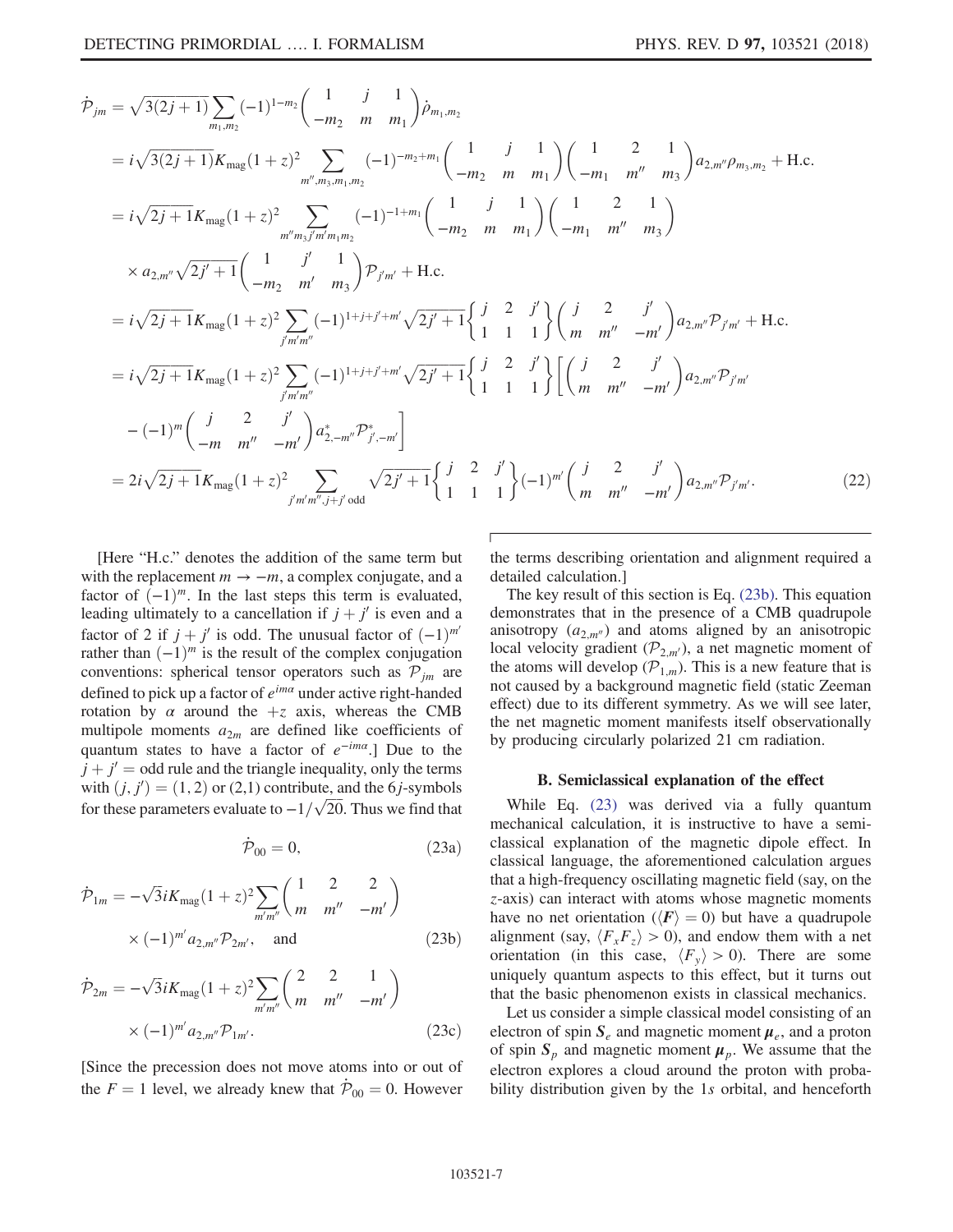$$
\dot{\mathcal{P}}_{jm} = \sqrt{3(2j+1)} \sum_{m_1, m_2} (-1)^{1-m_2} \left( \frac{1}{-m_2} \frac{j}{m} \frac{1}{m_1} \right) \dot{\rho}_{m_1, m_2}
$$
\n
$$
= i\sqrt{3(2j+1)} K_{\text{mag}} (1+z)^2 \sum_{m'', m_3, m_1, m_2} (-1)^{-m_2 + m_1} \left( \frac{1}{-m_2} \frac{j}{m} \frac{1}{m_1} \right) \left( \frac{1}{-m_1} \frac{2}{m''} \frac{1}{m_3} \right) a_{2,m''} \rho_{m_3, m_2} + \text{H.c.}
$$
\n
$$
= i\sqrt{2j+1} K_{\text{mag}} (1+z)^2 \sum_{m'', m_3/m_1, m_2} (-1)^{-1+m_1} \left( \frac{1}{-m_2} \frac{j}{m} \frac{1}{m_1} \right) \left( \frac{1}{-m_1} \frac{2}{m''} \frac{1}{m_3} \right)
$$
\n
$$
\times a_{2,m''} \sqrt{2j'+1} \left( \frac{1}{-m_2} \frac{j'}{m'} \frac{1}{m_3} \right) \mathcal{P}_{j'm'} + \text{H.c.}
$$
\n
$$
= i\sqrt{2j+1} K_{\text{mag}} (1+z)^2 \sum_{j'm'm''} (-1)^{1+j+j+m'} \sqrt{2j'+1} \left\{ \frac{j}{1} \frac{2}{1} \frac{j'}{1} \right\} \left( \frac{j}{m} \frac{2}{m''} \frac{j'}{m''} \right) a_{2,m''} \mathcal{P}_{j'm'} + \text{H.c.}
$$
\n
$$
= i\sqrt{2j+1} K_{\text{mag}} (1+z)^2 \sum_{j'm'm''} (-1)^{1+j+j+m'} \sqrt{2j'+1} \left\{ \frac{j}{1} \frac{2}{1} \frac{j'}{1} \right\} \left( \left( \frac{j}{m} \frac{2}{m''} \frac{j'}{m''} \right) a_{2,m''} \mathcal{P}_{j'm'} + \text{H.c.}
$$
\n
$$
-(-1)^m \left( \frac{j}{-m} \frac{2}{m''} \frac{j'}{m''} \right) a_{2,m''}^2 \mathcal{P
$$

[Here "H.c." denotes the addition of the same term but with the replacement  $m \to -m$ , a complex conjugate, and a factor of  $(-1)^m$ . In the last steps this term is evaluated, leading ultimately to a cancellation if  $j + j'$  is even and a factor of 2 if  $j + j'$  is odd. The unusual factor of  $(-1)^{m'}$ rather than  $(-1)^m$  is the result of the complex conjugation conventions: spherical tensor operators such as  $P_{jm}$  are defined to pick up a factor of  $e^{im\alpha}$  under active right-handed rotation by  $\alpha$  around the  $+z$  axis, whereas the CMB multipole moments  $a_{2m}$  are defined like coefficients of quantum states to have a factor of  $e^{-im\alpha}$ .] Due to the  $j + j' =$  odd rule and the triangle inequality, only the terms with  $(j, j') = (1, 2)$  or (2,1) contribute, and the 6*j*-symbols<br>for these perspecters evolute to  $1/\sqrt{20}$ . Thus we find that for these parameters evaluate to  $-1/\sqrt{20}$ . Thus we find that

$$
\dot{\mathcal{P}}_{00} = 0, \qquad (23a)
$$

<span id="page-6-1"></span><span id="page-6-0"></span>
$$
\dot{\mathcal{P}}_{1m} = -\sqrt{3}iK_{\text{mag}}(1+z)^{2} \sum_{m'm''} \begin{pmatrix} 1 & 2 & 2 \\ m & m'' & -m' \end{pmatrix}
$$
  
  $\times (-1)^{m'} a_{2,m''} \mathcal{P}_{2m'}, \text{ and}$  (23b)

$$
\dot{\mathcal{P}}_{2m} = -\sqrt{3}iK_{\text{mag}}(1+z)^{2} \sum_{m'm''} \begin{pmatrix} 2 & 2 & 1 \\ m & m'' & -m' \end{pmatrix}
$$

$$
\times (-1)^{m'} a_{2,m''} \mathcal{P}_{1m'}.
$$
(23c)

[Since the precession does not move atoms into or out of the  $F = 1$  level, we already knew that  $\mathcal{P}_{00} = 0$ . However the terms describing orientation and alignment required a detailed calculation.]

The key result of this section is Eq. [\(23b\).](#page-6-0) This equation demonstrates that in the presence of a CMB quadrupole anisotropy  $(a_{2,m^{\prime\prime}})$  and atoms aligned by an anisotropic local velocity gradient ( $\mathcal{P}_{2,m'}$ ), a net magnetic moment of the atoms will develop  $(\mathcal{P}_{1,m})$ . This is a new feature that is not caused by a background magnetic field (static Zeeman effect) due to its different symmetry. As we will see later, the net magnetic moment manifests itself observationally by producing circularly polarized 21 cm radiation.

### B. Semiclassical explanation of the effect

While Eq. [\(23\)](#page-6-1) was derived via a fully quantum mechanical calculation, it is instructive to have a semiclassical explanation of the magnetic dipole effect. In classical language, the aforementioned calculation argues that a high-frequency oscillating magnetic field (say, on the z-axis) can interact with atoms whose magnetic moments have no net orientation ( $\langle F \rangle = 0$ ) but have a quadrupole alignment (say,  $\langle F_xF_z \rangle > 0$ ), and endow them with a net orientation (in this case,  $\langle F_v \rangle > 0$ ). There are some uniquely quantum aspects to this effect, but it turns out that the basic phenomenon exists in classical mechanics.

Let us consider a simple classical model consisting of an electron of spin  $S_e$  and magnetic moment  $\mu_e$ , and a proton of spin  $S_p$  and magnetic moment  $\mu_p$ . We assume that the electron explores a cloud around the proton with probability distribution given by the 1s orbital, and henceforth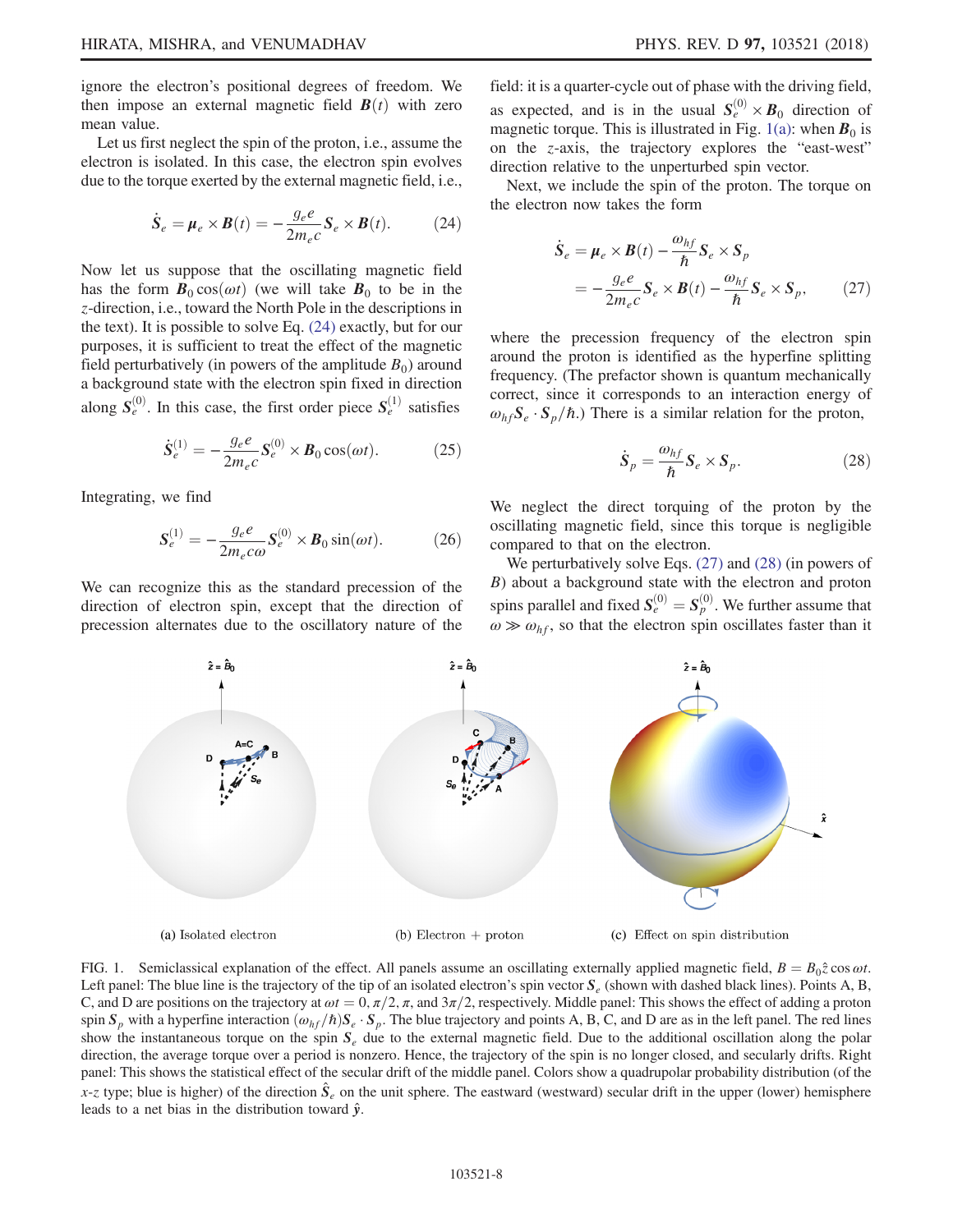ignore the electron's positional degrees of freedom. We then impose an external magnetic field  $\mathbf{B}(t)$  with zero mean value.

<span id="page-7-0"></span>Let us first neglect the spin of the proton, i.e., assume the electron is isolated. In this case, the electron spin evolves due to the torque exerted by the external magnetic field, i.e.,

$$
\dot{\mathbf{S}}_e = \boldsymbol{\mu}_e \times \boldsymbol{B}(t) = -\frac{g_e e}{2m_e c} \mathbf{S}_e \times \boldsymbol{B}(t). \tag{24}
$$

Now let us suppose that the oscillating magnetic field has the form  $\mathbf{B}_0 \cos(\omega t)$  (we will take  $\mathbf{B}_0$  to be in the z-direction, i.e., toward the North Pole in the descriptions in the text). It is possible to solve Eq. [\(24\)](#page-7-0) exactly, but for our purposes, it is sufficient to treat the effect of the magnetic field perturbatively (in powers of the amplitude  $B_0$ ) around a background state with the electron spin fixed in direction along  $S_e^{(0)}$ . In this case, the first order piece  $S_e^{(1)}$  satisfies

$$
\dot{\mathbf{S}}_e^{(1)} = -\frac{g_e e}{2m_e c} \mathbf{S}_e^{(0)} \times \mathbf{B}_0 \cos(\omega t). \tag{25}
$$

<span id="page-7-4"></span>Integrating, we find

$$
\mathbf{S}_e^{(1)} = -\frac{g_e e}{2m_e c\omega} \mathbf{S}_e^{(0)} \times \mathbf{B}_0 \sin(\omega t). \tag{26}
$$

We can recognize this as the standard precession of the direction of electron spin, except that the direction of precession alternates due to the oscillatory nature of the field: it is a quarter-cycle out of phase with the driving field, as expected, and is in the usual  $S_e^{(0)} \times B_0$  direction of magnetic torque. This is illustrated in Fig. [1\(a\):](#page-7-1) when  $B_0$  is on the z-axis, the trajectory explores the "east-west" direction relative to the unperturbed spin vector.

<span id="page-7-2"></span>Next, we include the spin of the proton. The torque on the electron now takes the form

$$
\dot{S}_e = \mu_e \times \boldsymbol{B}(t) - \frac{\omega_{hf}}{\hbar} \boldsymbol{S}_e \times \boldsymbol{S}_p
$$
  
= 
$$
-\frac{g_e e}{2m_e c} \boldsymbol{S}_e \times \boldsymbol{B}(t) - \frac{\omega_{hf}}{\hbar} \boldsymbol{S}_e \times \boldsymbol{S}_p,
$$
 (27)

<span id="page-7-3"></span>where the precession frequency of the electron spin around the proton is identified as the hyperfine splitting frequency. (The prefactor shown is quantum mechanically correct, since it corresponds to an interaction energy of  $\omega_{hf}S_e \cdot S_p/\hbar$ .) There is a similar relation for the proton,

$$
\dot{\mathbf{S}}_p = \frac{\omega_{hf}}{\hbar} \mathbf{S}_e \times \mathbf{S}_p. \tag{28}
$$

We neglect the direct torquing of the proton by the oscillating magnetic field, since this torque is negligible compared to that on the electron.

We perturbatively solve Eqs.  $(27)$  and  $(28)$  (in powers of B) about a background state with the electron and proton spins parallel and fixed  $S_e^{(0)} = S_p^{(0)}$ . We further assume that  $\omega \gg \omega_e$ , so that the electron spin oscillates faster than it  $\omega \gg \omega_{hf}$ , so that the electron spin oscillates faster than it

<span id="page-7-1"></span>

FIG. 1. Semiclassical explanation of the effect. All panels assume an oscillating externally applied magnetic field,  $B = B_0 \hat{z} \cos \omega t$ . Left panel: The blue line is the trajectory of the tip of an isolated electron's spin vector  $S_e$  (shown with dashed black lines). Points A, B, C, and D are positions on the trajectory at  $\omega t = 0$ ,  $\pi/2$ ,  $\pi$ , and  $3\pi/2$ , respectively. Middle panel: This shows the effect of adding a proton spin  $S_p$  with a hyperfine interaction  $(\omega_{hf}/\hbar)S_e \cdot S_p$ . The blue trajectory and points A, B, C, and D are as in the left panel. The red lines show the instantaneous torque on the spin  $S<sub>e</sub>$  due to the external magnetic field. Due to the additional oscillation along the polar direction, the average torque over a period is nonzero. Hence, the trajectory of the spin is no longer closed, and secularly drifts. Right panel: This shows the statistical effect of the secular drift of the middle panel. Colors show a quadrupolar probability distribution (of the x-z type; blue is higher) of the direction  $\hat{S}_e$  on the unit sphere. The eastward (westward) secular drift in the upper (lower) hemisphere leads to a net bias in the distribution toward  $\hat{y}$ .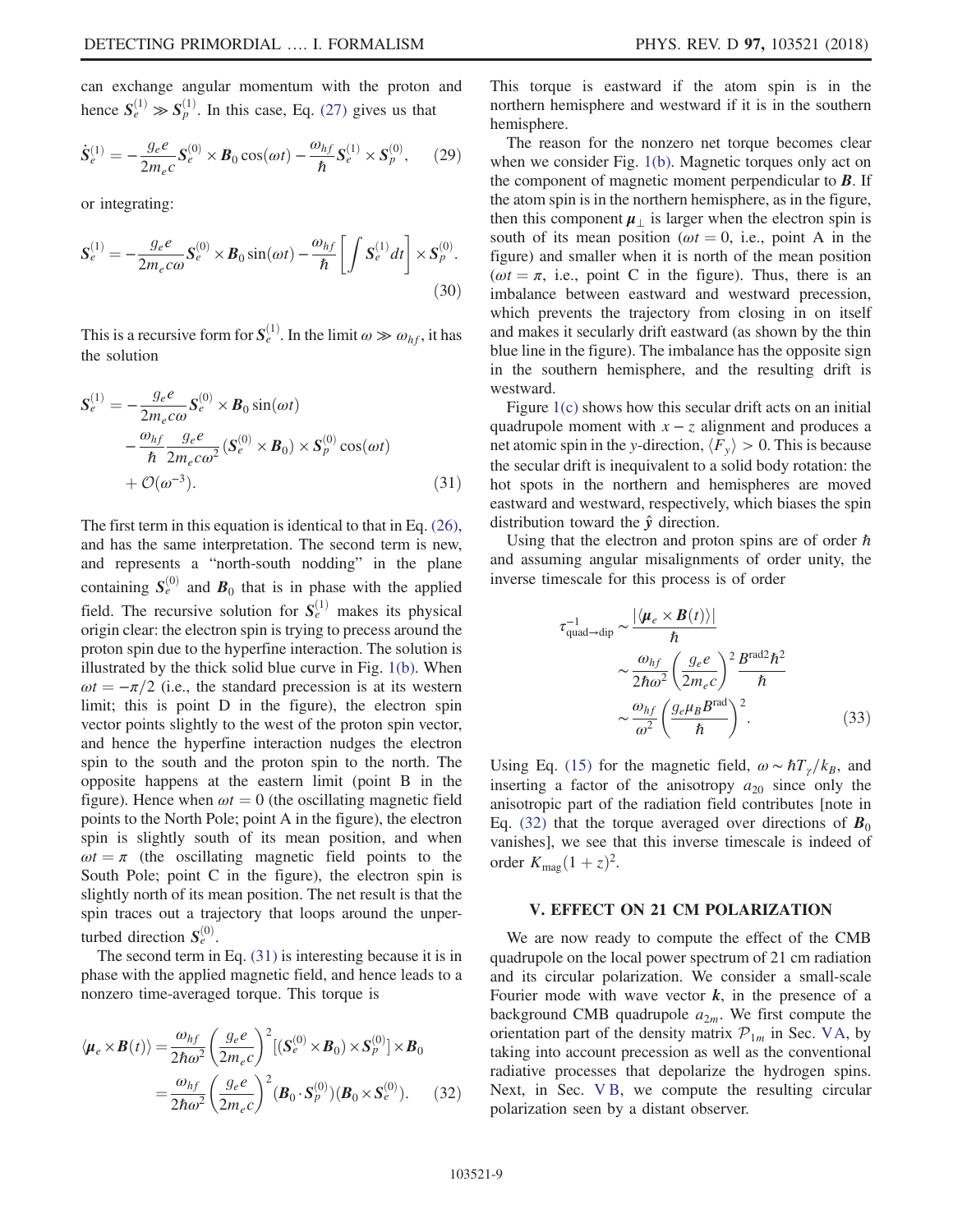can exchange angular momentum with the proton and hence  $S_e^{(1)} \gg S_p^{(1)}$ . In this case, Eq. [\(27\)](#page-7-2) gives us that

$$
\dot{S}_e^{(1)} = -\frac{g_e e}{2m_e c} S_e^{(0)} \times B_0 \cos(\omega t) - \frac{\omega_{hf}}{\hbar} S_e^{(1)} \times S_p^{(0)}, \quad (29)
$$

or integrating:

$$
\mathbf{S}_e^{(1)} = -\frac{g_e e}{2m_e c\omega} \mathbf{S}_e^{(0)} \times \mathbf{B}_0 \sin(\omega t) - \frac{\omega_{hf}}{\hbar} \left[ \int \mathbf{S}_e^{(1)} dt \right] \times \mathbf{S}_p^{(0)}.
$$
\n(30)

<span id="page-8-1"></span>This is a recursive form for  $S_e^{(1)}$ . In the limit  $\omega \gg \omega_{hf}$ , it has the solution

$$
\mathbf{S}_{e}^{(1)} = -\frac{g_{e}e}{2m_{e}c\omega}\mathbf{S}_{e}^{(0)} \times \mathbf{B}_{0} \sin(\omega t)
$$

$$
-\frac{\omega_{hf}}{\hbar} \frac{g_{e}e}{2m_{e}c\omega^{2}} (\mathbf{S}_{e}^{(0)} \times \mathbf{B}_{0}) \times \mathbf{S}_{p}^{(0)} \cos(\omega t)
$$

$$
+ \mathcal{O}(\omega^{-3}). \tag{31}
$$

The first term in this equation is identical to that in Eq. [\(26\)](#page-7-4), and has the same interpretation. The second term is new, and represents a "north-south nodding" in the plane containing  $S_e^{(0)}$  and  $B_0$  that is in phase with the applied field. The recursive solution for  $S_e^{(1)}$  makes its physical origin clear: the electron spin is trying to precess around the proton spin due to the hyperfine interaction. The solution is illustrated by the thick solid blue curve in Fig. [1\(b\).](#page-7-1) When  $\omega t = -\pi/2$  (i.e., the standard precession is at its western limit; this is point D in the figure), the electron spin vector points slightly to the west of the proton spin vector, and hence the hyperfine interaction nudges the electron spin to the south and the proton spin to the north. The opposite happens at the eastern limit (point B in the figure). Hence when  $\omega t = 0$  (the oscillating magnetic field points to the North Pole; point A in the figure), the electron spin is slightly south of its mean position, and when  $\omega t = \pi$  (the oscillating magnetic field points to the South Pole; point C in the figure), the electron spin is slightly north of its mean position. The net result is that the spin traces out a trajectory that loops around the unperturbed direction  $S_e^{(0)}$ .

<span id="page-8-2"></span>The second term in Eq. [\(31\)](#page-8-1) is interesting because it is in phase with the applied magnetic field, and hence leads to a nonzero time-averaged torque. This torque is

$$
\langle \mu_e \times \boldsymbol{B}(t) \rangle = \frac{\omega_{hf}}{2\hbar\omega^2} \left(\frac{g_e e}{2m_e c}\right)^2 \left[ (\boldsymbol{S}_e^{(0)} \times \boldsymbol{B}_0) \times \boldsymbol{S}_p^{(0)} \right] \times \boldsymbol{B}_0
$$

$$
= \frac{\omega_{hf}}{2\hbar\omega^2} \left(\frac{g_e e}{2m_e c}\right)^2 (\boldsymbol{B}_0 \cdot \boldsymbol{S}_p^{(0)}) (\boldsymbol{B}_0 \times \boldsymbol{S}_e^{(0)}).
$$
(32)

This torque is eastward if the atom spin is in the northern hemisphere and westward if it is in the southern hemisphere.

The reason for the nonzero net torque becomes clear when we consider Fig. [1\(b\)](#page-7-1). Magnetic torques only act on the component of magnetic moment perpendicular to  $\bm{B}$ . If the atom spin is in the northern hemisphere, as in the figure, then this component  $\mu_{\perp}$  is larger when the electron spin is south of its mean position ( $\omega t = 0$ , i.e., point A in the figure) and smaller when it is north of the mean position ( $\omega t = \pi$ , i.e., point C in the figure). Thus, there is an imbalance between eastward and westward precession, which prevents the trajectory from closing in on itself and makes it secularly drift eastward (as shown by the thin blue line in the figure). The imbalance has the opposite sign in the southern hemisphere, and the resulting drift is westward.

Figure [1\(c\)](#page-7-1) shows how this secular drift acts on an initial quadrupole moment with  $x - z$  alignment and produces a net atomic spin in the y-direction,  $\langle F_v \rangle > 0$ . This is because the secular drift is inequivalent to a solid body rotation: the hot spots in the northern and hemispheres are moved eastward and westward, respectively, which biases the spin distribution toward the  $\hat{y}$  direction.

Using that the electron and proton spins are of order  $\hbar$ and assuming angular misalignments of order unity, the inverse timescale for this process is of order

$$
\tau_{\text{quad}\to\text{dip}}^{-1} \sim \frac{|\langle \mu_e \times B(t) \rangle|}{\hbar} \sim \frac{\omega_{hf}}{2\hbar\omega^2} \left(\frac{g_e e}{2m_e c}\right)^2 \frac{B^{\text{rad}2} \hbar^2}{\hbar} \sim \frac{\omega_{hf}}{\omega^2} \left(\frac{g_e \mu_B B^{\text{rad}}}{\hbar}\right)^2.
$$
\n(33)

Using Eq. [\(15\)](#page-5-4) for the magnetic field,  $\omega \sim \hbar T_{\gamma}/k_B$ , and inserting a factor of the anisotropy  $a_{20}$  since only the anisotropic part of the radiation field contributes [note in Eq. [\(32\)](#page-8-2) that the torque averaged over directions of  $B_0$ vanishes], we see that this inverse timescale is indeed of order  $K_{\text{mag}}(1+z)^2$ .

### <span id="page-8-0"></span>V. EFFECT ON 21 CM POLARIZATION

We are now ready to compute the effect of the CMB quadrupole on the local power spectrum of 21 cm radiation and its circular polarization. We consider a small-scale Fourier mode with wave vector  $k$ , in the presence of a background CMB quadrupole  $a_{2m}$ . We first compute the orientation part of the density matrix  $\mathcal{P}_{1m}$  in Sec. [VA,](#page-9-0) by taking into account precession as well as the conventional radiative processes that depolarize the hydrogen spins. Next, in Sec. [V B](#page-10-0), we compute the resulting circular polarization seen by a distant observer.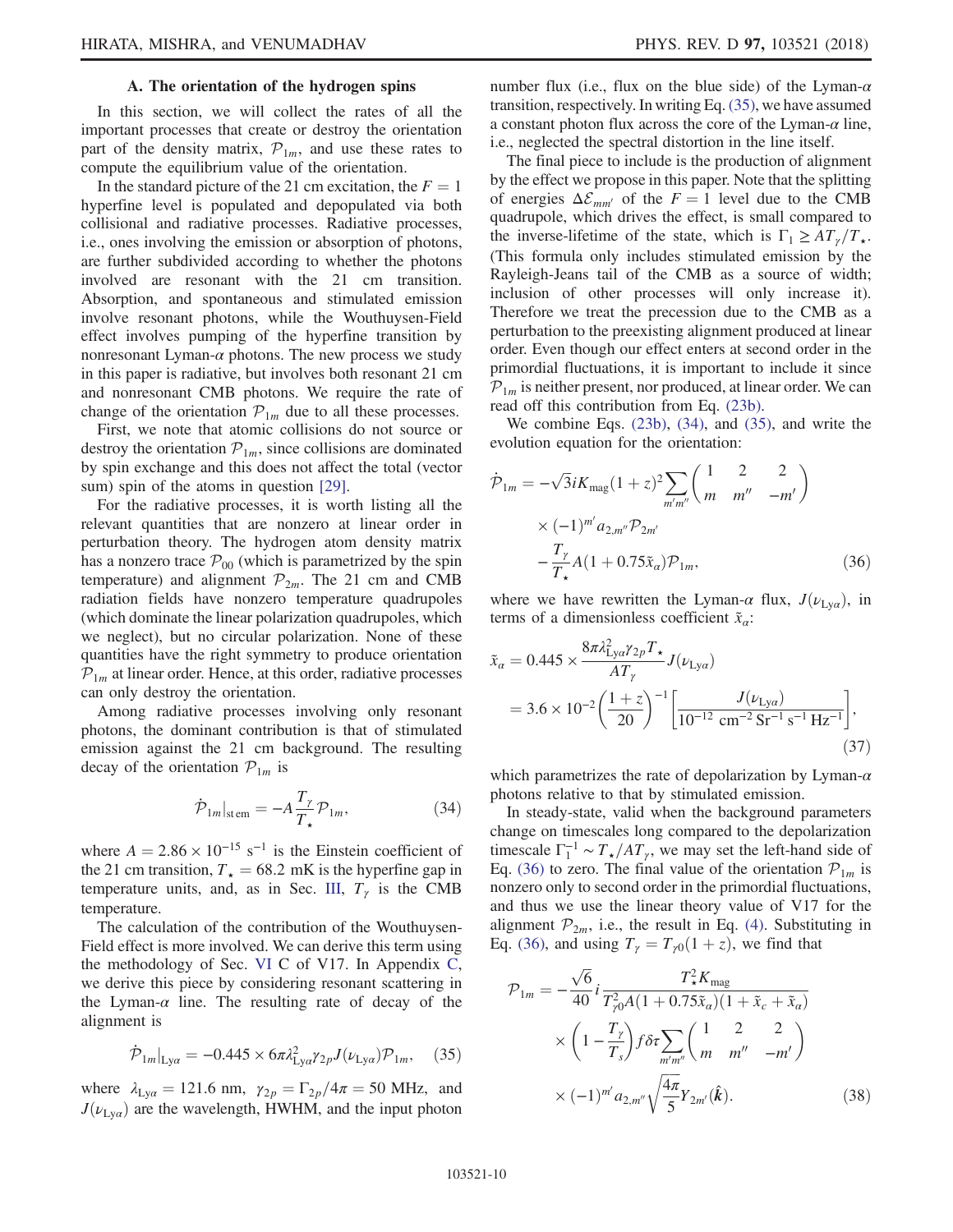# A. The orientation of the hydrogen spins

<span id="page-9-0"></span>In this section, we will collect the rates of all the important processes that create or destroy the orientation part of the density matrix,  $\mathcal{P}_{1m}$ , and use these rates to compute the equilibrium value of the orientation.

In the standard picture of the 21 cm excitation, the  $F = 1$ hyperfine level is populated and depopulated via both collisional and radiative processes. Radiative processes, i.e., ones involving the emission or absorption of photons, are further subdivided according to whether the photons involved are resonant with the 21 cm transition. Absorption, and spontaneous and stimulated emission involve resonant photons, while the Wouthuysen-Field effect involves pumping of the hyperfine transition by nonresonant Lyman- $\alpha$  photons. The new process we study in this paper is radiative, but involves both resonant 21 cm and nonresonant CMB photons. We require the rate of change of the orientation  $P_{1m}$  due to all these processes.

First, we note that atomic collisions do not source or destroy the orientation  $\mathcal{P}_{1m}$ , since collisions are dominated by spin exchange and this does not affect the total (vector sum) spin of the atoms in question [\[29\]](#page-19-14).

For the radiative processes, it is worth listing all the relevant quantities that are nonzero at linear order in perturbation theory. The hydrogen atom density matrix has a nonzero trace  $P_{00}$  (which is parametrized by the spin temperature) and alignment  $\mathcal{P}_{2m}$ . The 21 cm and CMB radiation fields have nonzero temperature quadrupoles (which dominate the linear polarization quadrupoles, which we neglect), but no circular polarization. None of these quantities have the right symmetry to produce orientation  $P_{1m}$  at linear order. Hence, at this order, radiative processes can only destroy the orientation.

<span id="page-9-2"></span>Among radiative processes involving only resonant photons, the dominant contribution is that of stimulated emission against the 21 cm background. The resulting decay of the orientation  $P_{1m}$  is

$$
\dot{\mathcal{P}}_{1m}|_{\text{stem}} = -A \frac{T_{\gamma}}{T_{\star}} \mathcal{P}_{1m},\tag{34}
$$

where  $A = 2.86 \times 10^{-15}$  s<sup>-1</sup> is the Einstein coefficient of the 21 cm transition,  $T_{\star} = 68.2 \text{ mK}$  is the hyperfine gap in temperature units, and, as in Sec. [III](#page-3-0),  $T_{\gamma}$  is the CMB temperature.

The calculation of the contribution of the Wouthuysen-Field effect is more involved. We can derive this term using the methodology of Sec. [VI](#page-11-0) C of V17. In Appendix [C](#page-16-0), we derive this piece by considering resonant scattering in the Lyman- $\alpha$  line. The resulting rate of decay of the alignment is

<span id="page-9-1"></span>
$$
\dot{\mathcal{P}}_{1m}|_{\text{Ly}\alpha} = -0.445 \times 6\pi \lambda_{\text{Ly}\alpha}^2 \gamma_{2p} J(\nu_{\text{Ly}\alpha}) \mathcal{P}_{1m}, \quad (35)
$$

where  $\lambda_{Ly\alpha} = 121.6$  nm,  $\gamma_{2p} = \Gamma_{2p}/4\pi = 50$  MHz, and  $J(\nu_{Lya})$  are the wavelength, HWHM, and the input photon number flux (i.e., flux on the blue side) of the Lyman- $\alpha$ transition, respectively. In writing Eq. [\(35\)](#page-9-1), we have assumed a constant photon flux across the core of the Lyman- $\alpha$  line, i.e., neglected the spectral distortion in the line itself.

The final piece to include is the production of alignment by the effect we propose in this paper. Note that the splitting of energies  $\Delta \mathcal{E}_{mm'}$  of the  $F = 1$  level due to the CMB quadrupole, which drives the effect, is small compared to the inverse-lifetime of the state, which is  $\Gamma_1 \geq AT_{\gamma}/T_{\star}$ . (This formula only includes stimulated emission by the Rayleigh-Jeans tail of the CMB as a source of width; inclusion of other processes will only increase it). Therefore we treat the precession due to the CMB as a perturbation to the preexisting alignment produced at linear order. Even though our effect enters at second order in the primordial fluctuations, it is important to include it since  $P_{1m}$  is neither present, nor produced, at linear order. We can read off this contribution from Eq. [\(23b\).](#page-6-0)

<span id="page-9-3"></span>We combine Eqs. [\(23b\)](#page-6-0), [\(34\)](#page-9-2), and [\(35\),](#page-9-1) and write the evolution equation for the orientation:

$$
\dot{\mathcal{P}}_{1m} = -\sqrt{3}iK_{\text{mag}}(1+z)^{2} \sum_{m'm''} \begin{pmatrix} 1 & 2 & 2 \\ m & m'' & -m' \end{pmatrix}
$$

$$
\times (-1)^{m'} a_{2,m''} \mathcal{P}_{2m'}
$$

$$
-\frac{T_{\gamma}}{T_{\star}} A (1+0.75 \tilde{x}_{\alpha}) \mathcal{P}_{1m}, \tag{36}
$$

where we have rewritten the Lyman- $\alpha$  flux,  $J(\nu_{L_x\alpha})$ , in terms of a dimensionless coefficient  $\tilde{x}_\alpha$ :

$$
\tilde{x}_{\alpha} = 0.445 \times \frac{8\pi \lambda_{\text{Ly}\alpha}^2 \gamma_2 p T_{\star}}{A T_{\gamma}} J(\nu_{\text{Ly}\alpha})
$$
\n
$$
= 3.6 \times 10^{-2} \left(\frac{1+z}{20}\right)^{-1} \left[\frac{J(\nu_{\text{Ly}\alpha})}{10^{-12} \text{ cm}^{-2} \text{ Sr}^{-1} \text{ s}^{-1} \text{ Hz}^{-1}}\right],\tag{37}
$$

which parametrizes the rate of depolarization by Lyman- $\alpha$ photons relative to that by stimulated emission.

In steady-state, valid when the background parameters change on timescales long compared to the depolarization timescale  $\Gamma_1^{-1} \sim T_{\star}/AT_{\gamma}$ , we may set the left-hand side of Eq. [\(36\)](#page-9-3) to zero. The final value of the orientation  $\mathcal{P}_{1m}$  is nonzero only to second order in the primordial fluctuations, and thus we use the linear theory value of V17 for the alignment  $\mathcal{P}_{2m}$ , i.e., the result in Eq. [\(4\).](#page-2-0) Substituting in Eq. [\(36\)](#page-9-3), and using  $T_{\gamma} = T_{\gamma 0}(1 + z)$ , we find that

<span id="page-9-4"></span>
$$
\mathcal{P}_{1m} = -\frac{\sqrt{6}}{40} i \frac{T_{\star}^2 K_{\text{mag}}}{T_{\gamma 0}^2 A (1 + 0.75 \tilde{x}_a)(1 + \tilde{x}_c + \tilde{x}_a)}
$$

$$
\times \left(1 - \frac{T_{\gamma}}{T_s}\right) f \delta \tau \sum_{m'm''} \left(\frac{1}{m} \frac{2}{m''} - m'\right)
$$

$$
\times (-1)^{m'} a_{2,m''} \sqrt{\frac{4\pi}{5}} Y_{2m'}(\hat{k}). \tag{38}
$$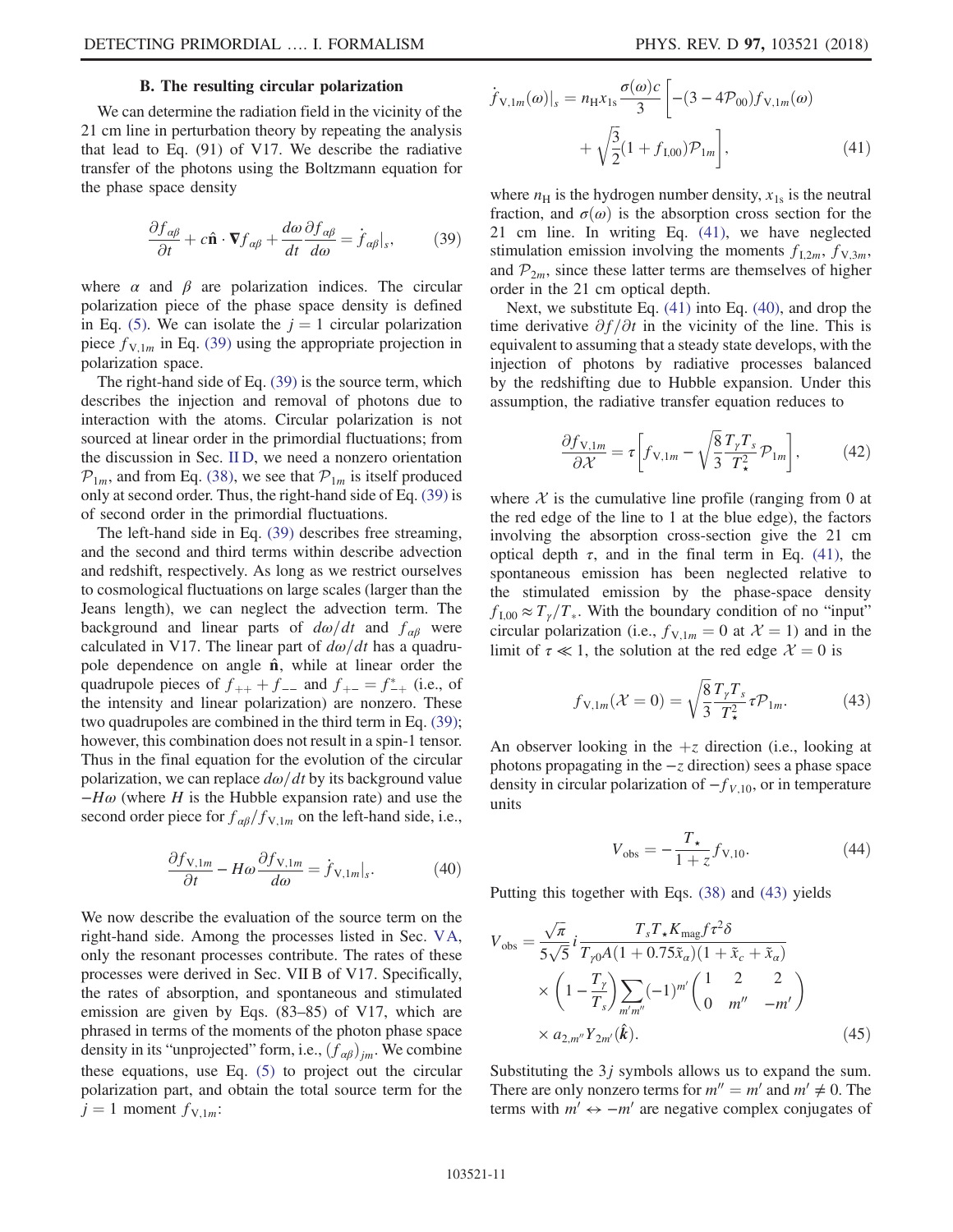# B. The resulting circular polarization

<span id="page-10-1"></span><span id="page-10-0"></span>We can determine the radiation field in the vicinity of the 21 cm line in perturbation theory by repeating the analysis that lead to Eq. (91) of V17. We describe the radiative transfer of the photons using the Boltzmann equation for the phase space density

$$
\frac{\partial f_{\alpha\beta}}{\partial t} + c \hat{\mathbf{n}} \cdot \nabla f_{\alpha\beta} + \frac{d\omega}{dt} \frac{\partial f_{\alpha\beta}}{d\omega} = \dot{f}_{\alpha\beta}|_s, \tag{39}
$$

where  $\alpha$  and  $\beta$  are polarization indices. The circular polarization piece of the phase space density is defined in Eq. [\(5\)](#page-3-4). We can isolate the  $j = 1$  circular polarization piece  $f_{V,1m}$  in Eq. [\(39\)](#page-10-1) using the appropriate projection in polarization space.

The right-hand side of Eq. [\(39\)](#page-10-1) is the source term, which describes the injection and removal of photons due to interaction with the atoms. Circular polarization is not sourced at linear order in the primordial fluctuations; from the discussion in Sec. [II D](#page-3-1), we need a nonzero orientation  $\mathcal{P}_{1m}$ , and from Eq. [\(38\)](#page-9-4), we see that  $\mathcal{P}_{1m}$  is itself produced only at second order. Thus, the right-hand side of Eq. [\(39\)](#page-10-1) is of second order in the primordial fluctuations.

The left-hand side in Eq. [\(39\)](#page-10-1) describes free streaming, and the second and third terms within describe advection and redshift, respectively. As long as we restrict ourselves to cosmological fluctuations on large scales (larger than the Jeans length), we can neglect the advection term. The background and linear parts of  $d\omega/dt$  and  $f_{\alpha\beta}$  were calculated in V17. The linear part of  $d\omega/dt$  has a quadrupole dependence on angle  $\hat{\mathbf{n}}$ , while at linear order the quadrupole pieces of  $f_{++} + f_{--}$  and  $f_{+-} = f_{-+}^*$  (i.e., of<br>the intensity and linear polarization) are nonzero. These the intensity and linear polarization) are nonzero. These two quadrupoles are combined in the third term in Eq. [\(39\)](#page-10-1); however, this combination does not result in a spin-1 tensor. Thus in the final equation for the evolution of the circular polarization, we can replace  $d\omega/dt$  by its background value  $-H\omega$  (where H is the Hubble expansion rate) and use the second order piece for  $f_{\alpha\beta}/f_{V,1m}$  on the left-hand side, i.e.,

<span id="page-10-3"></span>
$$
\frac{\partial f_{\text{V},1m}}{\partial t} - H\omega \frac{\partial f_{\text{V},1m}}{d\omega} = \dot{f}_{\text{V},1m}|_s. \tag{40}
$$

<span id="page-10-2"></span>We now describe the evaluation of the source term on the right-hand side. Among the processes listed in Sec. [VA](#page-9-0), only the resonant processes contribute. The rates of these processes were derived in Sec. VII B of V17. Specifically, the rates of absorption, and spontaneous and stimulated emission are given by Eqs. (83–85) of V17, which are phrased in terms of the moments of the photon phase space density in its "unprojected" form, i.e.,  $(f_{\alpha\beta})_{jm}$ . We combine these equations, use Eq. [\(5\)](#page-3-4) to project out the circular polarization part, and obtain the total source term for the  $j = 1$  moment  $f_{V,1m}$ :

$$
\dot{f}_{V,1m}(\omega)|_s = n_H x_{1s} \frac{\sigma(\omega)c}{3} \left[ -(3 - 4\mathcal{P}_{00}) f_{V,1m}(\omega) + \sqrt{\frac{3}{2}} (1 + f_{1,00}) \mathcal{P}_{1m} \right],
$$
\n(41)

where  $n_{\rm H}$  is the hydrogen number density,  $x_{1s}$  is the neutral fraction, and  $\sigma(\omega)$  is the absorption cross section for the 21 cm line. In writing Eq. [\(41\)](#page-10-2), we have neglected stimulation emission involving the moments  $f_{1,2m}$ ,  $f_{V,3m}$ , and  $P_{2m}$ , since these latter terms are themselves of higher order in the 21 cm optical depth.

Next, we substitute Eq. [\(41\)](#page-10-2) into Eq. [\(40\)](#page-10-3), and drop the time derivative  $\partial f/\partial t$  in the vicinity of the line. This is equivalent to assuming that a steady state develops, with the injection of photons by radiative processes balanced by the redshifting due to Hubble expansion. Under this assumption, the radiative transfer equation reduces to

$$
\frac{\partial f_{\text{V},1m}}{\partial \mathcal{X}} = \tau \left[ f_{\text{V},1m} - \sqrt{\frac{8}{3}} \frac{T_{\gamma} T_s}{T_{\star}^2} \mathcal{P}_{1m} \right],\tag{42}
$$

where  $X$  is the cumulative line profile (ranging from 0 at the red edge of the line to 1 at the blue edge), the factors involving the absorption cross-section give the 21 cm optical depth  $\tau$ , and in the final term in Eq. [\(41\)](#page-10-2), the spontaneous emission has been neglected relative to the stimulated emission by the phase-space density  $f_{1,00} \approx T_{\gamma}/T_{*}$ . With the boundary condition of no "input" circular polarization (i.e.,  $f_{V,1m} = 0$  at  $\mathcal{X} = 1$ ) and in the limit of  $\tau \ll 1$ , the solution at the red edge  $\mathcal{X} = 0$  is

<span id="page-10-4"></span>
$$
f_{V,1m}(\mathcal{X}=0) = \sqrt{\frac{8}{3}} \frac{T_{\gamma} T_s}{T_{\star}^2} \tau \mathcal{P}_{1m}.
$$
 (43)

An observer looking in the  $+z$  direction (i.e., looking at photons propagating in the  $-z$  direction) sees a phase space density in circular polarization of  $-f_{V,10}$ , or in temperature units

$$
V_{\text{obs}} = -\frac{T_{\star}}{1+z} f_{\text{V},10}.
$$
 (44)

Putting this together with Eqs. [\(38\)](#page-9-4) and [\(43\)](#page-10-4) yields

$$
V_{\text{obs}} = \frac{\sqrt{\pi}}{5\sqrt{5}} i \frac{T_s T_\star K_{\text{mag}} f \tau^2 \delta}{T_{\gamma 0} A (1 + 0.75 \tilde{x}_a) (1 + \tilde{x}_c + \tilde{x}_a)}
$$
  
 
$$
\times \left(1 - \frac{T_\gamma}{T_s}\right) \sum_{m'm''} (-1)^{m'} \begin{pmatrix} 1 & 2 & 2 \\ 0 & m'' & -m' \end{pmatrix}
$$
  
 
$$
\times a_{2,m''} Y_{2m'}(\hat{k}). \tag{45}
$$

Substituting the  $3j$  symbols allows us to expand the sum. There are only nonzero terms for  $m'' = m'$  and  $m' \neq 0$ . The terms with  $m' \leftrightarrow -m'$  are negative complex conjugates of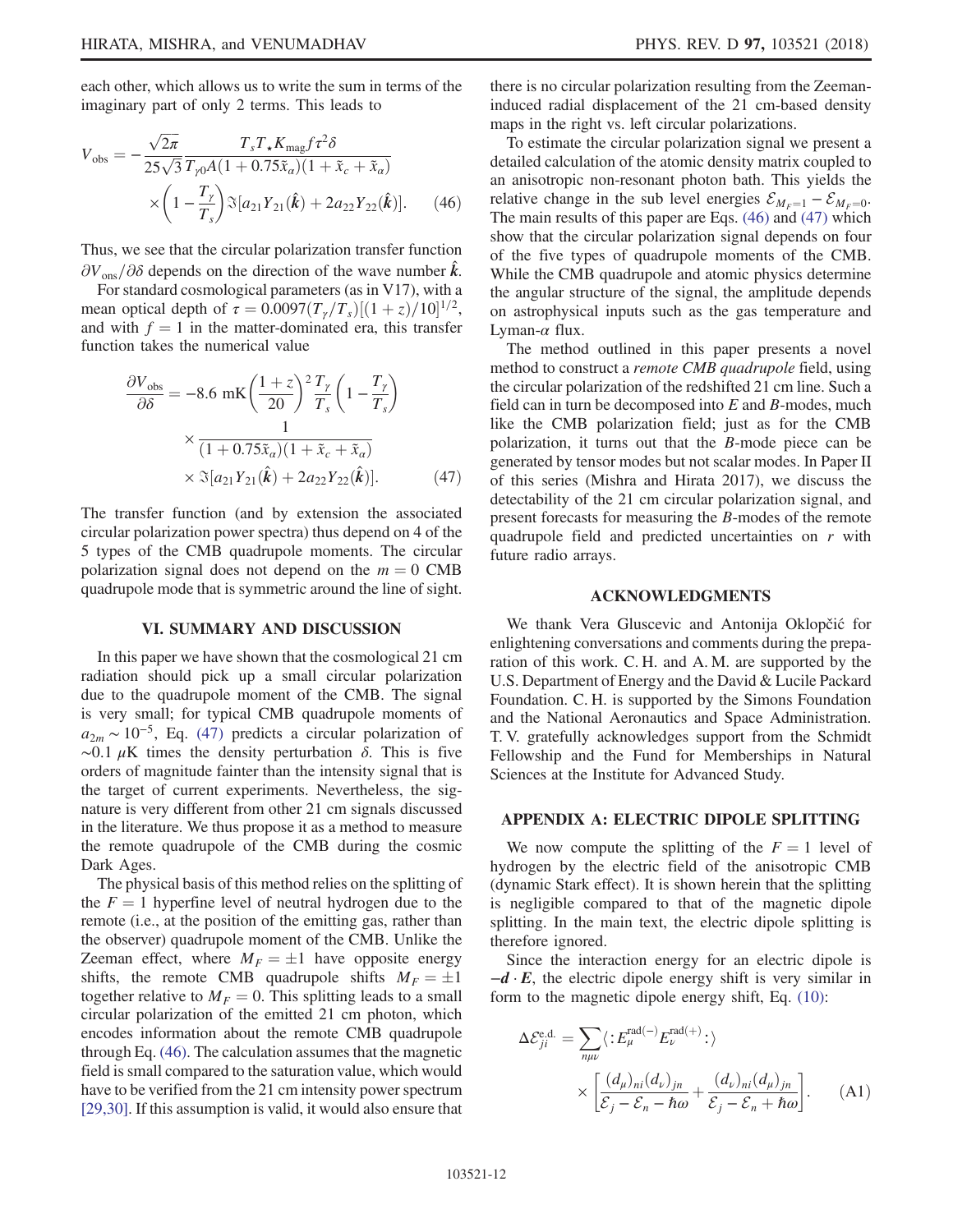<span id="page-11-3"></span>each other, which allows us to write the sum in terms of the imaginary part of only 2 terms. This leads to

$$
V_{\rm obs} = -\frac{\sqrt{2\pi}}{25\sqrt{3}} \frac{T_s T_\star K_{\rm mag} f \tau^2 \delta}{T_{\gamma 0} A (1 + 0.75 \tilde{x}_a)(1 + \tilde{x}_c + \tilde{x}_a)} \times \left(1 - \frac{T_\gamma}{T_s}\right) \Im[a_{21} Y_{21}(\hat{k}) + 2a_{22} Y_{22}(\hat{k})]. \tag{46}
$$

Thus, we see that the circular polarization transfer function  $\partial V_{\text{ons}}/\partial \delta$  depends on the direction of the wave number  $\hat{k}$ .

<span id="page-11-2"></span>For standard cosmological parameters (as in V17), with a mean optical depth of  $\tau = 0.0097(T_\gamma/T_s)[(1+z)/10]^{1/2}$ ,<br>and with  $f = 1$  in the matter-dominated eral this transfer and with  $f = 1$  in the matter-dominated era, this transfer function takes the numerical value

$$
\frac{\partial V_{\text{obs}}}{\partial \delta} = -8.6 \text{ mK} \left(\frac{1+z}{20}\right)^2 \frac{T_{\gamma}}{T_s} \left(1 - \frac{T_{\gamma}}{T_s}\right)
$$

$$
\times \frac{1}{(1+0.75\tilde{x}_\alpha)(1+\tilde{x}_c+\tilde{x}_\alpha)}
$$

$$
\times \mathfrak{S}[a_{21}Y_{21}(\hat{k}) + 2a_{22}Y_{22}(\hat{k})]. \tag{47}
$$

The transfer function (and by extension the associated circular polarization power spectra) thus depend on 4 of the 5 types of the CMB quadrupole moments. The circular polarization signal does not depend on the  $m = 0$  CMB quadrupole mode that is symmetric around the line of sight.

### VI. SUMMARY AND DISCUSSION

<span id="page-11-0"></span>In this paper we have shown that the cosmological 21 cm radiation should pick up a small circular polarization due to the quadrupole moment of the CMB. The signal is very small; for typical CMB quadrupole moments of  $a_{2m} \sim 10^{-5}$ , Eq. [\(47\)](#page-11-2) predicts a circular polarization of  $\sim$ 0.1  $\mu$ K times the density perturbation  $\delta$ . This is five orders of magnitude fainter than the intensity signal that is the target of current experiments. Nevertheless, the signature is very different from other 21 cm signals discussed in the literature. We thus propose it as a method to measure the remote quadrupole of the CMB during the cosmic Dark Ages.

The physical basis of this method relies on the splitting of the  $F = 1$  hyperfine level of neutral hydrogen due to the remote (i.e., at the position of the emitting gas, rather than the observer) quadrupole moment of the CMB. Unlike the Zeeman effect, where  $M_F = \pm 1$  have opposite energy<br>shifts the remote CMB quadrupole shifts  $M_E = +1$ shifts, the remote CMB quadrupole shifts  $M_F = \pm 1$ <br>together relative to  $M_F = 0$ . This splitting leads to a small together relative to  $M_F = 0$ . This splitting leads to a small circular polarization of the emitted 21 cm photon, which encodes information about the remote CMB quadrupole through Eq. [\(46\).](#page-11-3) The calculation assumes that the magnetic field is small compared to the saturation value, which would have to be verified from the 21 cm intensity power spectrum [\[29,30\]](#page-19-14). If this assumption is valid, it would also ensure that there is no circular polarization resulting from the Zeemaninduced radial displacement of the 21 cm-based density maps in the right vs. left circular polarizations.

To estimate the circular polarization signal we present a detailed calculation of the atomic density matrix coupled to an anisotropic non-resonant photon bath. This yields the relative change in the sub level energies  $\mathcal{E}_{M_E=1} - \mathcal{E}_{M_E=0}$ . The main results of this paper are Eqs. [\(46\)](#page-11-3) and [\(47\)](#page-11-2) which show that the circular polarization signal depends on four of the five types of quadrupole moments of the CMB. While the CMB quadrupole and atomic physics determine the angular structure of the signal, the amplitude depends on astrophysical inputs such as the gas temperature and Lyman- $\alpha$  flux.

The method outlined in this paper presents a novel method to construct a *remote CMB quadrupole* field, using the circular polarization of the redshifted 21 cm line. Such a field can in turn be decomposed into E and B-modes, much like the CMB polarization field; just as for the CMB polarization, it turns out that the B-mode piece can be generated by tensor modes but not scalar modes. In Paper II of this series (Mishra and Hirata 2017), we discuss the detectability of the 21 cm circular polarization signal, and present forecasts for measuring the B-modes of the remote quadrupole field and predicted uncertainties on r with future radio arrays.

### ACKNOWLEDGMENTS

We thank Vera Gluscevic and Antonija Oklopčić for enlightening conversations and comments during the preparation of this work. C. H. and A. M. are supported by the U.S. Department of Energy and the David & Lucile Packard Foundation. C. H. is supported by the Simons Foundation and the National Aeronautics and Space Administration. T. V. gratefully acknowledges support from the Schmidt Fellowship and the Fund for Memberships in Natural Sciences at the Institute for Advanced Study.

### <span id="page-11-1"></span>APPENDIX A: ELECTRIC DIPOLE SPLITTING

We now compute the splitting of the  $F = 1$  level of hydrogen by the electric field of the anisotropic CMB (dynamic Stark effect). It is shown herein that the splitting is negligible compared to that of the magnetic dipole splitting. In the main text, the electric dipole splitting is therefore ignored.

<span id="page-11-4"></span>Since the interaction energy for an electric dipole is  $-d \cdot E$ , the electric dipole energy shift is very similar in form to the magnetic dipole energy shift, Eq. [\(10\):](#page-4-1)

$$
\Delta \mathcal{E}_{ji}^{\text{e.d.}} = \sum_{n\mu\nu} \langle : E_{\mu}^{\text{rad}(-)} E_{\nu}^{\text{rad}(+)} : \rangle
$$

$$
\times \left[ \frac{(d_{\mu})_{ni}(d_{\nu})_{jn}}{\mathcal{E}_{j} - \mathcal{E}_{n} - \hbar \omega} + \frac{(d_{\nu})_{ni}(d_{\mu})_{jn}}{\mathcal{E}_{j} - \mathcal{E}_{n} + \hbar \omega} \right]. \tag{A1}
$$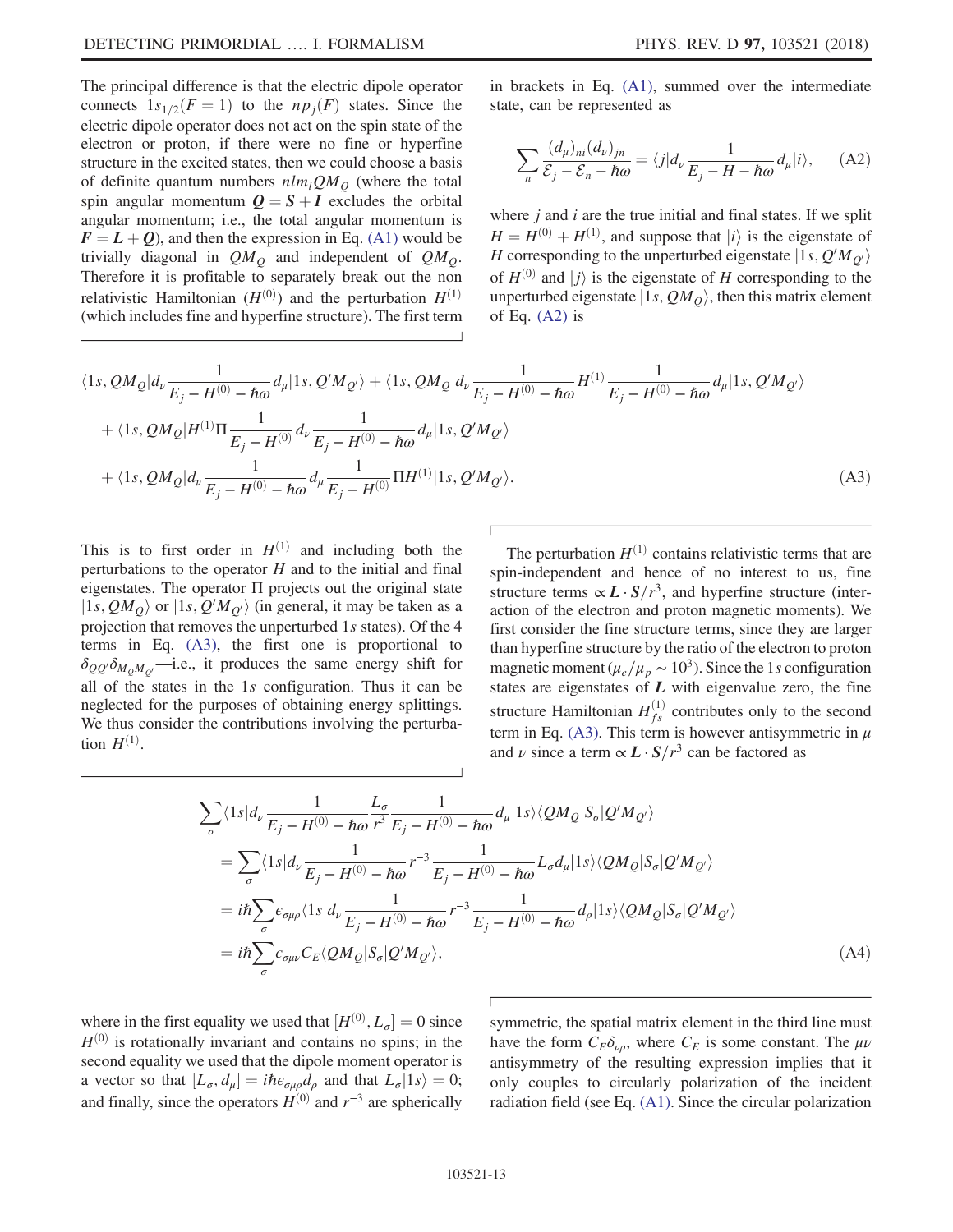The principal difference is that the electric dipole operator connects  $1s_{1/2}(F = 1)$  to the  $np_i(F)$  states. Since the electric dipole operator does not act on the spin state of the electron or proton, if there were no fine or hyperfine structure in the excited states, then we could choose a basis of definite quantum numbers  $nlm_lQM_O$  (where the total spin angular momentum  $Q = S + I$  excludes the orbital angular momentum; i.e., the total angular momentum is  $\mathbf{F} = \mathbf{L} + \mathbf{Q}$ , and then the expression in Eq. [\(A1\)](#page-11-4) would be trivially diagonal in  $QM<sub>Q</sub>$  and independent of  $QM<sub>Q</sub>$ . Therefore it is profitable to separately break out the non relativistic Hamiltonian  $(H^{(0)})$  and the perturbation  $H^{(1)}$ (which includes fine and hyperfine structure). The first term <span id="page-12-0"></span>in brackets in Eq. [\(A1\),](#page-11-4) summed over the intermediate state, can be represented as

$$
\sum_{n} \frac{(d_{\mu})_{ni}(d_{\nu})_{jn}}{\mathcal{E}_{j} - \mathcal{E}_{n} - \hbar \omega} = \langle j | d_{\nu} \frac{1}{E_{j} - H - \hbar \omega} d_{\mu} | i \rangle, \quad \text{(A2)}
$$

where  $i$  and  $i$  are the true initial and final states. If we split  $H = H^{(0)} + H^{(1)}$ , and suppose that  $|i\rangle$  is the eigenstate of  $H$  corresponding to the unperturbed eigenstate  $|1_S Q'M_{\alpha}\rangle$ H corresponding to the unperturbed eigenstate  $|1s, Q'M_{Q'}\rangle$ <br>of  $U^{(0)}$  and  $|\cdot\rangle$  is the eigenstate of U corresponding to the of  $H^{(0)}$  and  $|i\rangle$  is the eigenstate of H corresponding to the unperturbed eigenstate  $|1s, QM_O\rangle$ , then this matrix element of Eq.  $(A2)$  is

<span id="page-12-1"></span>
$$
\langle 1s, QM_{Q}|d_{\nu}\frac{1}{E_{j}-H^{(0)}-\hbar\omega}d_{\mu}|1s, Q'M_{Q'}\rangle + \langle 1s, QM_{Q}|d_{\nu}\frac{1}{E_{j}-H^{(0)}-\hbar\omega}H^{(1)}\frac{1}{E_{j}-H^{(0)}-\hbar\omega}d_{\mu}|1s, Q'M_{Q'}\rangle + \langle 1s, QM_{Q}|H^{(1)}\Pi\frac{1}{E_{j}-H^{(0)}}d_{\nu}\frac{1}{E_{j}-H^{(0)}-\hbar\omega}d_{\mu}|1s, Q'M_{Q'}\rangle + \langle 1s, QM_{Q}|d_{\nu}\frac{1}{E_{j}-H^{(0)}-\hbar\omega}d_{\mu}\frac{1}{E_{j}-H^{(0)}}\Pi H^{(1)}|1s, Q'M_{Q'}\rangle.
$$
\n(A3)

This is to first order in  $H^{(1)}$  and including both the perturbations to the operator  $H$  and to the initial and final eigenstates. The operator Π projects out the original state  $|1s, QM_Q\rangle$  or  $|1s, Q'M_{Q'}\rangle$  (in general, it may be taken as a projection that removes the unperturbed 1s states). Of the 4 projection that removes the unperturbed 1s states). Of the 4 terms in Eq. [\(A3\)](#page-12-1), the first one is proportional to  $\delta_{QQ'}\delta_{M_0M_{\alpha'}}$ —i.e., it produces the same energy shift for all of the states in the 1s configuration. Thus it can be neglected for the purposes of obtaining energy splittings. We thus consider the contributions involving the perturbation  $H^{(1)}$ .

The perturbation  $H^{(1)}$  contains relativistic terms that are spin-independent and hence of no interest to us, fine structure terms  $\propto L \cdot S/r^3$ , and hyperfine structure (interaction of the electron and proton magnetic moments). We first consider the fine structure terms, since they are larger than hyperfine structure by the ratio of the electron to proton magnetic moment ( $\mu_e/\mu_p \sim 10^3$ ). Since the 1s configuration states are eigenstates of  $L$  with eigenvalue zero, the fine structure Hamiltonian  $H_{fs}^{(1)}$  contributes only to the second term in Eq. [\(A3\).](#page-12-1) This term is however antisymmetric in  $\mu$ and  $\nu$  since a term  $\propto L \cdot S/r^3$  can be factored as

$$
\sum_{\sigma} \langle 1s | d_{\nu} \frac{1}{E_j - H^{(0)} - \hbar \omega} \frac{L_{\sigma}}{r^3} \frac{1}{E_j - H^{(0)} - \hbar \omega} d_{\mu} | 1s \rangle \langle QM_Q | S_{\sigma} | Q'M_{Q'} \rangle
$$
\n
$$
= \sum_{\sigma} \langle 1s | d_{\nu} \frac{1}{E_j - H^{(0)} - \hbar \omega} r^{-3} \frac{1}{E_j - H^{(0)} - \hbar \omega} L_{\sigma} d_{\mu} | 1s \rangle \langle QM_Q | S_{\sigma} | Q'M_{Q'} \rangle
$$
\n
$$
= i\hbar \sum_{\sigma} \epsilon_{\sigma\mu\rho} \langle 1s | d_{\nu} \frac{1}{E_j - H^{(0)} - \hbar \omega} r^{-3} \frac{1}{E_j - H^{(0)} - \hbar \omega} d_{\rho} | 1s \rangle \langle QM_Q | S_{\sigma} | Q'M_{Q'} \rangle
$$
\n
$$
= i\hbar \sum_{\sigma} \epsilon_{\sigma\mu\nu} C_E \langle QM_Q | S_{\sigma} | Q'M_{Q'} \rangle,
$$
\n(A4)

where in the first equality we used that  $[H^{(0)}, L_{\sigma}] = 0$  since  $H^{(0)}$  is rotationally invariant and contains no spins; in the  $H<sup>(0)</sup>$  is rotationally invariant and contains no spins; in the second equality we used that the dipole moment operator is a vector so that  $[L_{\sigma}, d_{\mu}] = i\hbar \epsilon_{\sigma\mu\rho} d_{\rho}$  and that  $L_{\sigma}|1s\rangle = 0;$ and finally, since the operators  $H^{(0)}$  and  $r^{-3}$  are spherically symmetric, the spatial matrix element in the third line must have the form  $C_E \delta_{\nu\rho}$ , where  $C_E$  is some constant. The  $\mu\nu$ antisymmetry of the resulting expression implies that it only couples to circularly polarization of the incident radiation field (see Eq. [\(A1\).](#page-11-4) Since the circular polarization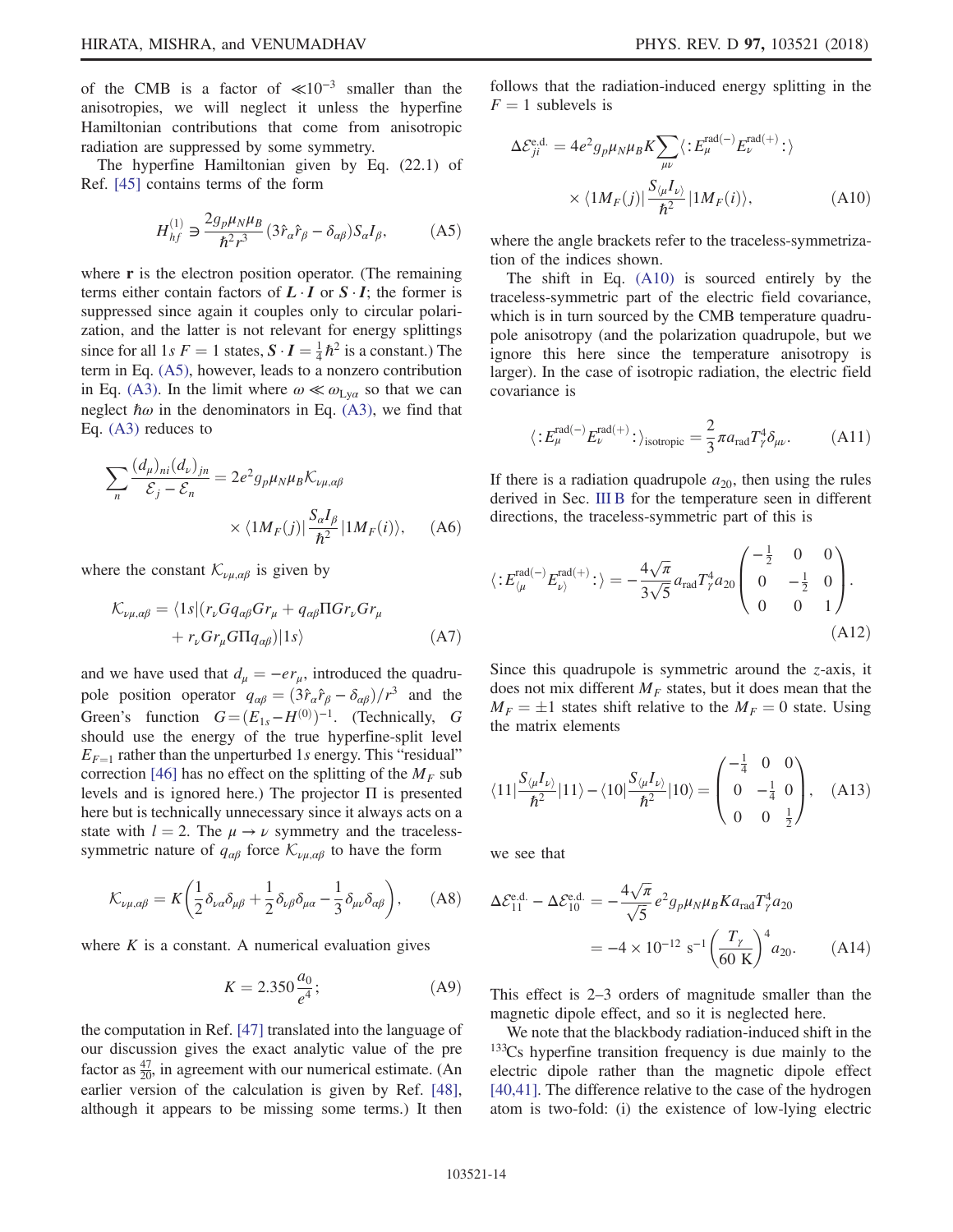of the CMB is a factor of  $\ll 10^{-3}$  smaller than the anisotropies, we will neglect it unless the hyperfine Hamiltonian contributions that come from anisotropic radiation are suppressed by some symmetry.

<span id="page-13-0"></span>The hyperfine Hamiltonian given by Eq. (22.1) of Ref. [\[45\]](#page-20-3) contains terms of the form

$$
H_{hf}^{(1)} \ni \frac{2g_p \mu_N \mu_B}{\hbar^2 r^3} (3\hat{r}_\alpha \hat{r}_\beta - \delta_{\alpha\beta}) S_\alpha I_\beta, \tag{A5}
$$

where  $\bf{r}$  is the electron position operator. (The remaining terms either contain factors of  $L \cdot I$  or  $S \cdot I$ ; the former is suppressed since again it couples only to circular polarization, and the latter is not relevant for energy splittings since for all  $1s F = 1$  states,  $S \cdot I = \frac{1}{4} \hbar^2$  is a constant.) The term in Eq. (A5) however leads to a pop zero contribution term in Eq. [\(A5\)](#page-13-0), however, leads to a nonzero contribution in Eq. [\(A3\)](#page-12-1). In the limit where  $\omega \ll \omega_{Ly\alpha}$  so that we can neglect  $\hbar \omega$  in the denominators in Eq. [\(A3\)](#page-12-1), we find that Eq. [\(A3\)](#page-12-1) reduces to

$$
\sum_{n} \frac{(d_{\mu})_{ni}(d_{\nu})_{jn}}{\mathcal{E}_{j} - \mathcal{E}_{n}} = 2e^{2} g_{p} \mu_{N} \mu_{B} \mathcal{K}_{\nu\mu,\alpha\beta}
$$

$$
\times \langle 1 M_{F}(j) | \frac{S_{\alpha} I_{\beta}}{\hbar^{2}} | 1 M_{F}(i) \rangle, \quad (A6)
$$

where the constant  $\mathcal{K}_{\nu\mu,\alpha\beta}$  is given by

$$
\mathcal{K}_{\nu\mu,\alpha\beta} = \langle 1s | (r_{\nu} G q_{\alpha\beta} G r_{\mu} + q_{\alpha\beta} \Pi G r_{\nu} G r_{\mu} + r_{\nu} G r_{\mu} G \Pi q_{\alpha\beta} | 1s \rangle
$$
\n(A7)

and we have used that  $d_{\mu} = -e r_{\mu}$ , introduced the quadrupole position operator  $q_{\alpha\beta} = (3\hat{r}_{\alpha}\hat{r}_{\beta} - \delta_{\alpha\beta})/r^3$  and the Green's function  $G = (E_{1s} - H^{(0)})^{-1}$ . (Technically, G<br>should use the energy of the true hyperfine-split level should use the energy of the true hyperfine-split level  $E_{F=1}$  rather than the unperturbed 1s energy. This "residual" correction [\[46\]](#page-20-4) has no effect on the splitting of the  $M_F$  sub levels and is ignored here.) The projector Π is presented here but is technically unnecessary since it always acts on a state with  $l = 2$ . The  $\mu \rightarrow \nu$  symmetry and the tracelesssymmetric nature of  $q_{\alpha\beta}$  force  $\mathcal{K}_{\nu\mu,\alpha\beta}$  to have the form

$$
\mathcal{K}_{\nu\mu,\alpha\beta} = K \bigg( \frac{1}{2} \delta_{\nu\alpha} \delta_{\mu\beta} + \frac{1}{2} \delta_{\nu\beta} \delta_{\mu\alpha} - \frac{1}{3} \delta_{\mu\nu} \delta_{\alpha\beta} \bigg), \qquad (A8)
$$

where  $K$  is a constant. A numerical evaluation gives

$$
K = 2.350 \frac{a_0}{e^4};
$$
 (A9)

the computation in Ref. [\[47\]](#page-20-5) translated into the language of our discussion gives the exact analytic value of the pre factor as  $\frac{47}{20}$ , in agreement with our numerical estimate. (An earlier version of the calculation is given by Ref. [\[48\]](#page-20-6), although it appears to be missing some terms.) It then <span id="page-13-1"></span>follows that the radiation-induced energy splitting in the  $F = 1$  sublevels is

$$
\Delta \mathcal{E}_{ji}^{\text{e.d.}} = 4e^2 g_p \mu_N \mu_B K \sum_{\mu\nu} \langle : E_{\mu}^{\text{rad}(-)} E_{\nu}^{\text{rad}(+)} : \rangle
$$
  
 
$$
\times \langle 1 M_F(j) | \frac{S_{\langle \mu} I_{\nu \rangle}}{\hbar^2} | 1 M_F(i) \rangle, \tag{A10}
$$

where the angle brackets refer to the traceless-symmetrization of the indices shown.

The shift in Eq. [\(A10\)](#page-13-1) is sourced entirely by the traceless-symmetric part of the electric field covariance, which is in turn sourced by the CMB temperature quadrupole anisotropy (and the polarization quadrupole, but we ignore this here since the temperature anisotropy is larger). In the case of isotropic radiation, the electric field covariance is

$$
\langle E_{\mu}^{\text{rad}(-)} E_{\nu}^{\text{rad}(+)} \cdot \rangle_{\text{isotropic}} = \frac{2}{3} \pi a_{\text{rad}} T_{\gamma}^{4} \delta_{\mu\nu}.
$$
 (A11)

If there is a radiation quadrupole  $a_{20}$ , then using the rules derived in Sec. [III B](#page-4-2) for the temperature seen in different directions, the traceless-symmetric part of this is

$$
\langle E_{\langle \mu}^{\text{rad}(-)} E_{\nu\rangle}^{\text{rad}(+)}: \rangle = -\frac{4\sqrt{\pi}}{3\sqrt{5}} a_{\text{rad}} T_{\gamma}^{4} a_{20} \begin{pmatrix} -\frac{1}{2} & 0 & 0\\ 0 & -\frac{1}{2} & 0\\ 0 & 0 & 1 \end{pmatrix} . \tag{A12}
$$

Since this quadrupole is symmetric around the  $z$ -axis, it does not mix different  $M_F$  states, but it does mean that the  $M_F = \pm 1$  states shift relative to the  $M_F = 0$  state. Using the matrix elements the matrix elements

$$
\langle 11 \vert \frac{S_{\langle \mu} I_{\nu \rangle}}{\hbar^2} \vert 11 \rangle - \langle 10 \vert \frac{S_{\langle \mu} I_{\nu \rangle}}{\hbar^2} \vert 10 \rangle = \begin{pmatrix} -\frac{1}{4} & 0 & 0 \\ 0 & -\frac{1}{4} & 0 \\ 0 & 0 & \frac{1}{2} \end{pmatrix}, \quad \text{(A13)}
$$

<span id="page-13-2"></span>we see that

$$
\Delta \mathcal{E}_{11}^{\text{e.d.}} - \Delta \mathcal{E}_{10}^{\text{e.d.}} = -\frac{4\sqrt{\pi}}{\sqrt{5}} e^2 g_p \mu_N \mu_B K a_{\text{rad}} T_\gamma^4 a_{20}
$$
  
= -4 × 10<sup>-12</sup> s<sup>-1</sup>  $\left(\frac{T_\gamma}{60 \text{ K}}\right)^4 a_{20}.$  (A14)

This effect is 2–3 orders of magnitude smaller than the magnetic dipole effect, and so it is neglected here.

We note that the blackbody radiation-induced shift in the <sup>133</sup>Cs hyperfine transition frequency is due mainly to the electric dipole rather than the magnetic dipole effect [\[40,41\]](#page-20-7). The difference relative to the case of the hydrogen atom is two-fold: (i) the existence of low-lying electric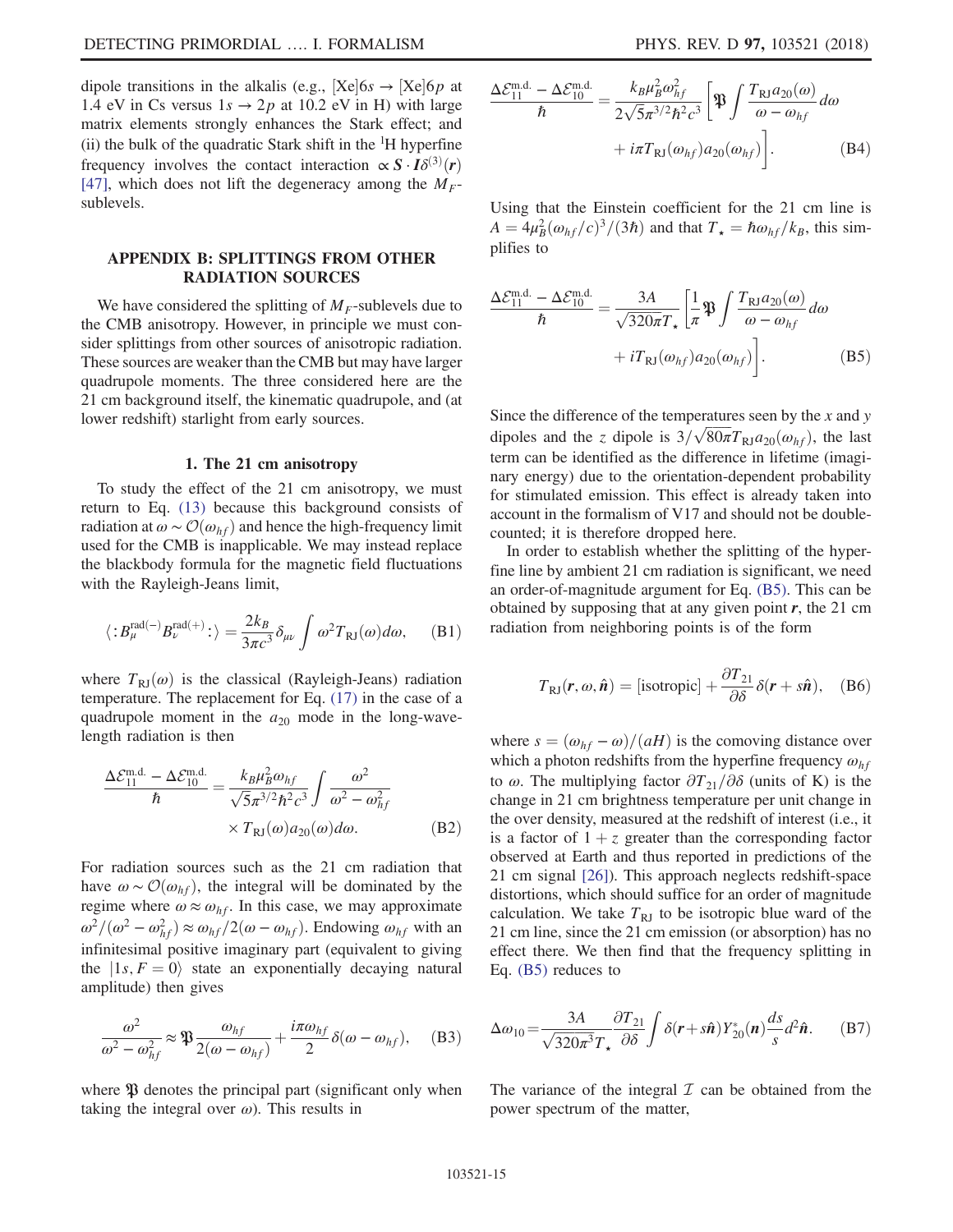dipole transitions in the alkalis (e.g.,  $[Xe]$  6s  $\rightarrow$   $[Xe]$  6p at 1.4 eV in Cs versus  $1s \rightarrow 2p$  at 10.2 eV in H) with large matrix elements strongly enhances the Stark effect; and (ii) the bulk of the quadratic Stark shift in the <sup>1</sup> H hyperfine frequency involves the contact interaction  $\propto S \cdot I \delta^{(3)}(r)$ <br>[47] which does not lift the degeneracy among the  $M_{\text{tot}}$ [\[47\]](#page-20-5), which does not lift the degeneracy among the  $M_F$ sublevels.

# APPENDIX B: SPLITTINGS FROM OTHER RADIATION SOURCES

We have considered the splitting of  $M<sub>F</sub>$ -sublevels due to the CMB anisotropy. However, in principle we must consider splittings from other sources of anisotropic radiation. These sources are weaker than the CMB but may have larger quadrupole moments. The three considered here are the 21 cm background itself, the kinematic quadrupole, and (at lower redshift) starlight from early sources.

### 1. The 21 cm anisotropy

To study the effect of the 21 cm anisotropy, we must return to Eq. [\(13\)](#page-4-3) because this background consists of radiation at  $\omega \sim \mathcal{O}(\omega_{hf})$  and hence the high-frequency limit used for the CMB is inapplicable. We may instead replace the blackbody formula for the magnetic field fluctuations with the Rayleigh-Jeans limit,

$$
\langle :B_{\mu}^{\mathrm{rad}(-)}B_{\nu}^{\mathrm{rad}(+)}: \rangle = \frac{2k_B}{3\pi c^3} \delta_{\mu\nu} \int \omega^2 T_{\mathrm{RJ}}(\omega) d\omega, \quad \ \ \mathrm{(B1)}
$$

where  $T_{\text{RI}}(\omega)$  is the classical (Rayleigh-Jeans) radiation temperature. The replacement for Eq. [\(17\)](#page-5-1) in the case of a quadrupole moment in the  $a_{20}$  mode in the long-wavelength radiation is then

$$
\frac{\Delta \mathcal{E}_{11}^{\text{m.d.}} - \Delta \mathcal{E}_{10}^{\text{m.d.}}}{\hbar} = \frac{k_B \mu_B^2 \omega_{hf}}{\sqrt{5} \pi^{3/2} \hbar^2 c^3} \int \frac{\omega^2}{\omega^2 - \omega_{hf}^2} \times T_{\text{RJ}}(\omega) a_{20}(\omega) d\omega.
$$
 (B2)

For radiation sources such as the 21 cm radiation that have  $\omega \sim \mathcal{O}(\omega_{hf})$ , the integral will be dominated by the regime where  $\omega \approx \omega_{hf}$ . In this case, we may approximate  $\omega^2/(\omega^2 - \omega_{hf}^2) \approx \omega_{hf}/2(\omega - \omega_{hf})$ . Endowing  $\omega_{hf}$  with an infinitesimal positive imaginary part (equivalent to giving infinitesimal positive imaginary part (equivalent to giving the  $|1s, F = 0\rangle$  state an exponentially decaying natural amplitude) then gives

$$
\frac{\omega^2}{\omega^2 - \omega_{hf}^2} \approx \mathfrak{P} \frac{\omega_{hf}}{2(\omega - \omega_{hf})} + \frac{i\pi\omega_{hf}}{2} \delta(\omega - \omega_{hf}), \quad \text{(B3)}
$$

where  $\mathfrak P$  denotes the principal part (significant only when taking the integral over  $\omega$ ). This results in

$$
\frac{\Delta \mathcal{E}_{11}^{\text{m.d.}} - \Delta \mathcal{E}_{10}^{\text{m.d.}}}{\hbar} = \frac{k_B \mu_B^2 \omega_{hf}^2}{2\sqrt{5}\pi^{3/2} \hbar^2 c^3} \left[ \mathfrak{P} \int \frac{T_{\text{RJ}} a_{20}(\omega)}{\omega - \omega_{hf}} d\omega + i\pi T_{\text{RJ}}(\omega_{hf}) a_{20}(\omega_{hf}) \right].
$$
\n(B4)

<span id="page-14-0"></span>Using that the Einstein coefficient for the 21 cm line is  $A = 4\mu_B^2(\omega_{hf}/c)^3/(3\hbar)$  and that  $T_{\star} = \hbar \omega_{hf}/k_B$ , this simplifies to

$$
\frac{\Delta \mathcal{E}_{11}^{\text{m.d.}} - \Delta \mathcal{E}_{10}^{\text{m.d.}}}{\hbar} = \frac{3A}{\sqrt{320\pi} T_{\star}} \left[ \frac{1}{\pi} \mathfrak{P} \int \frac{T_{\text{RJ}} a_{20}(\omega)}{\omega - \omega_{hf}} d\omega + i T_{\text{RJ}}(\omega_{hf}) a_{20}(\omega_{hf}) \right].
$$
\n(B5)

Since the difference of the temperatures seen by the  $x$  and  $y$ dipoles and the z dipole is  $3/\sqrt{80\pi}T_{RJ}a_{20}(\omega_{hf})$ , the last term can be identified as the difference in lifetime (imagiterm can be identified as the difference in lifetime (imaginary energy) due to the orientation-dependent probability for stimulated emission. This effect is already taken into account in the formalism of V17 and should not be doublecounted; it is therefore dropped here.

In order to establish whether the splitting of the hyperfine line by ambient 21 cm radiation is significant, we need an order-of-magnitude argument for Eq. [\(B5\)](#page-14-0). This can be obtained by supposing that at any given point  $r$ , the 21 cm radiation from neighboring points is of the form

$$
T_{\rm RJ}(r,\omega,\hat{\boldsymbol{n}}) = \text{[isotropic]} + \frac{\partial T_{21}}{\partial \delta} \delta(r + s\hat{\boldsymbol{n}}), \quad \text{(B6)}
$$

where  $s = (\omega_{hf} - \omega)/(aH)$  is the comoving distance over which a photon redshifts from the hyperfine frequency  $\omega_{hf}$ to  $\omega$ . The multiplying factor  $\partial T_{21}/\partial \delta$  (units of K) is the change in 21 cm brightness temperature per unit change in the over density, measured at the redshift of interest (i.e., it is a factor of  $1 + z$  greater than the corresponding factor observed at Earth and thus reported in predictions of the 21 cm signal [\[26\]](#page-19-12)). This approach neglects redshift-space distortions, which should suffice for an order of magnitude calculation. We take  $T_{\text{RI}}$  to be isotropic blue ward of the 21 cm line, since the 21 cm emission (or absorption) has no effect there. We then find that the frequency splitting in Eq. [\(B5\)](#page-14-0) reduces to

$$
\Delta \omega_{10} = \frac{3A}{\sqrt{320\pi^3}T_\star} \frac{\partial T_{21}}{\partial \delta} \int \delta(\mathbf{r} + s\hat{\mathbf{n}}) Y_{20}^*(\mathbf{n}) \frac{ds}{s} d^2 \hat{\mathbf{n}}. \tag{B7}
$$

The variance of the integral  $\mathcal I$  can be obtained from the power spectrum of the matter,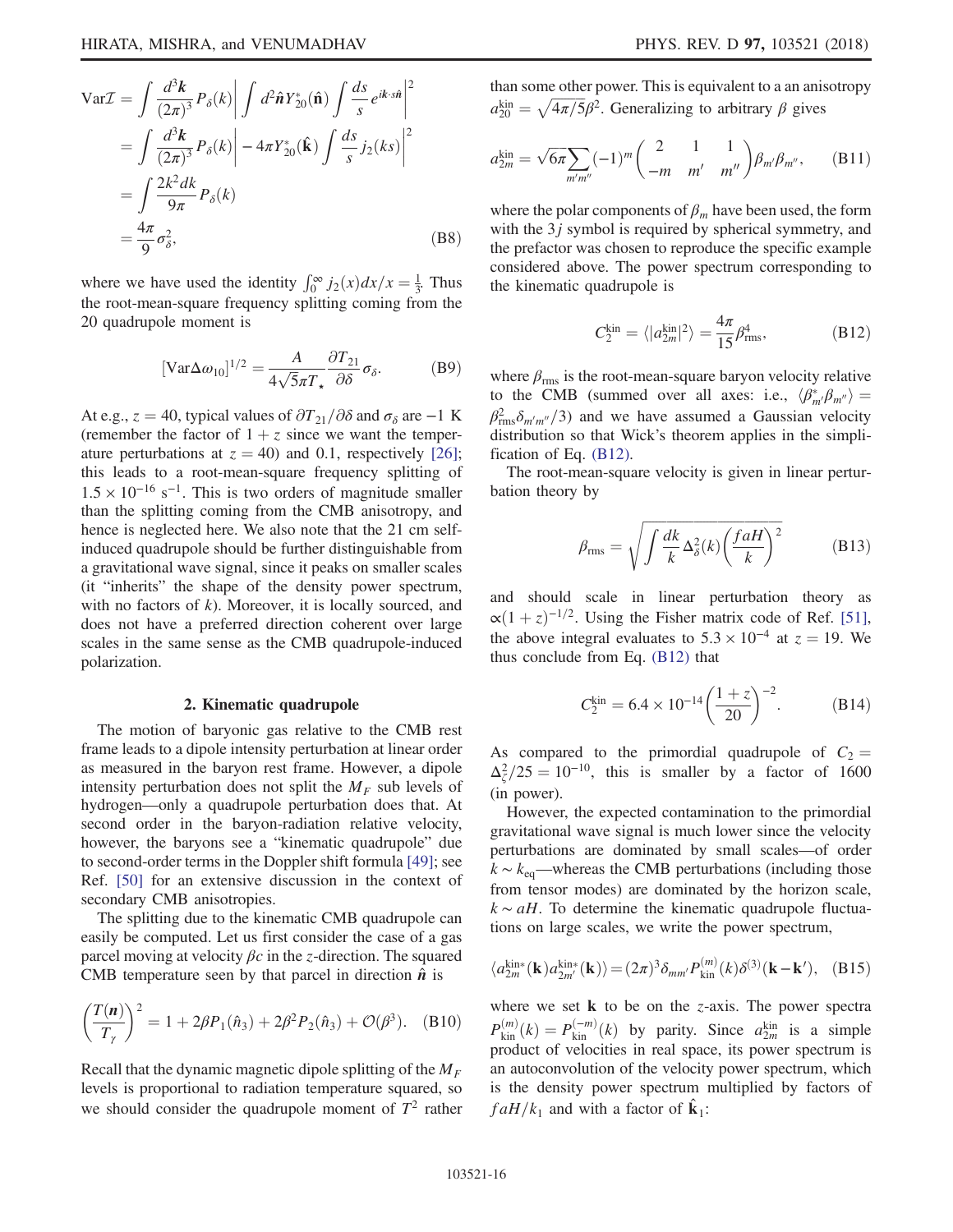$$
\begin{split} \text{Var}\mathcal{I} &= \int \frac{d^3 \mathbf{k}}{(2\pi)^3} P_\delta(k) \bigg| \int d^2 \hat{\mathbf{n}} Y_{20}^* (\hat{\mathbf{n}}) \int \frac{ds}{s} e^{ik \cdot s \hat{\mathbf{n}}} \bigg|^2 \\ &= \int \frac{d^3 \mathbf{k}}{(2\pi)^3} P_\delta(k) \bigg| - 4\pi Y_{20}^* (\hat{\mathbf{k}}) \int \frac{ds}{s} j_2(ks) \bigg|^2 \\ &= \int \frac{2k^2 dk}{9\pi} P_\delta(k) \\ &= \frac{4\pi}{9} \sigma_\delta^2, \end{split} \tag{B8}
$$

where we have used the identity  $\int_0^\infty j_2(x) dx/x = \frac{1}{3}$ . Thus the root-mean-square frequency splitting coming from the 20 quadrupole moment is

$$
[\text{Var}\Delta\omega_{10}]^{1/2} = \frac{A}{4\sqrt{5}\pi T_*} \frac{\partial T_{21}}{\partial \delta} \sigma_{\delta}.
$$
 (B9)

At e.g.,  $z = 40$ , typical values of  $\partial T_{21}/\partial \delta$  and  $\sigma_{\delta}$  are −1 K (remember the factor of  $1 + z$  since we want the temperature perturbations at  $z = 40$ ) and 0.1, respectively [\[26\]](#page-19-12); this leads to a root-mean-square frequency splitting of  $1.5 \times 10^{-16}$  s<sup>-1</sup>. This is two orders of magnitude smaller than the splitting coming from the CMB anisotropy, and hence is neglected here. We also note that the 21 cm selfinduced quadrupole should be further distinguishable from a gravitational wave signal, since it peaks on smaller scales (it "inherits" the shape of the density power spectrum, with no factors of  $k$ ). Moreover, it is locally sourced, and does not have a preferred direction coherent over large scales in the same sense as the CMB quadrupole-induced polarization.

#### 2. Kinematic quadrupole

The motion of baryonic gas relative to the CMB rest frame leads to a dipole intensity perturbation at linear order as measured in the baryon rest frame. However, a dipole intensity perturbation does not split the  $M_F$  sub levels of hydrogen—only a quadrupole perturbation does that. At second order in the baryon-radiation relative velocity, however, the baryons see a "kinematic quadrupole" due to second-order terms in the Doppler shift formula [\[49\];](#page-20-8) see Ref. [\[50\]](#page-20-9) for an extensive discussion in the context of secondary CMB anisotropies.

The splitting due to the kinematic CMB quadrupole can easily be computed. Let us first consider the case of a gas parcel moving at velocity  $\beta c$  in the *z*-direction. The squared CMB temperature seen by that parcel in direction  $\hat{n}$  is

$$
\left(\frac{T(n)}{T_{\gamma}}\right)^{2} = 1 + 2\beta P_{1}(\hat{n}_{3}) + 2\beta^{2} P_{2}(\hat{n}_{3}) + \mathcal{O}(\beta^{3}).
$$
 (B10)

Recall that the dynamic magnetic dipole splitting of the  $M_F$ levels is proportional to radiation temperature squared, so we should consider the quadrupole moment of  $T^2$  rather <span id="page-15-1"></span>than some other power. This is equivalent to a an anisotropy  $a_{20}^{\text{kin}} = \sqrt{4\pi/5\beta^2}$ . Generalizing to arbitrary  $\beta$  gives

$$
a_{2m}^{\text{kin}} = \sqrt{6\pi} \sum_{m'm''} (-1)^m \binom{2}{-m} \frac{1}{m'} \frac{1}{m''} \beta_{m'} \beta_{m''}, \quad (B11)
$$

<span id="page-15-0"></span>where the polar components of  $\beta_m$  have been used, the form with the 3*j* symbol is required by spherical symmetry, and the prefactor was chosen to reproduce the specific example considered above. The power spectrum corresponding to the kinematic quadrupole is

$$
C_2^{\rm kin} = \langle |a_{2m}^{\rm kin}|^2 \rangle = \frac{4\pi}{15} \beta_{\rm rms}^4,\tag{B12}
$$

where  $\beta_{\rm rms}$  is the root-mean-square baryon velocity relative to the CMB (summed over all axes: i.e.,  $\langle \beta_m^* \beta_{m'} \rangle =$ <br> $\beta_m^2$ ,  $\zeta_m^2$  and we have assumed a Gaussian valority  $\beta_{\text{rms}}^2 \delta_{m'm''}/3$  and we have assumed a Gaussian velocity distribution so that Wick's theorem applies in the simplification of Eq. [\(B12\).](#page-15-0)

The root-mean-square velocity is given in linear perturbation theory by

$$
\beta_{\rm rms} = \sqrt{\int \frac{dk}{k} \Delta_{\delta}^2(k) \left(\frac{faH}{k}\right)^2}
$$
 (B13)

and should scale in linear perturbation theory as  $\alpha(1+z)^{-1/2}$ . Using the Fisher matrix code of Ref. [\[51\]](#page-20-10), the above integral evaluates to  $5.3 \times 10^{-4}$  at  $z = 19$ . We thus conclude from Eq. [\(B12\)](#page-15-0) that

$$
C_2^{\text{kin}} = 6.4 \times 10^{-14} \left(\frac{1+z}{20}\right)^{-2}.
$$
 (B14)

As compared to the primordial quadrupole of  $C_2$  =  $\Delta_{\zeta}^2/25 = 10^{-10}$ , this is smaller by a factor of 1600 (in power).

However, the expected contamination to the primordial gravitational wave signal is much lower since the velocity perturbations are dominated by small scales—of order  $k \sim k_{\text{eq}}$ —whereas the CMB perturbations (including those from tensor modes) are dominated by the horizon scale,  $k \sim aH$ . To determine the kinematic quadrupole fluctuations on large scales, we write the power spectrum,

$$
\langle a_{2m}^{\text{kin}*}(\mathbf{k})a_{2m'}^{\text{kin}*}(\mathbf{k})\rangle = (2\pi)^3 \delta_{mm'} P_{\text{kin}}^{(m)}(k) \delta^{(3)}(\mathbf{k} - \mathbf{k}'), \quad (B15)
$$

where we set  $k$  to be on the *z*-axis. The power spectra  $P_{\text{kin}}^{(m)}(k) = P_{\text{kin}}^{(-m)}(k)$  by parity. Since  $a_{2m}^{\text{kin}}$  is a simple product of velocities in real space its power spectrum is product of velocities in real space, its power spectrum is an autoconvolution of the velocity power spectrum, which is the density power spectrum multiplied by factors of  $faH/k_1$  and with a factor of  $\hat{\mathbf{k}}_1$ :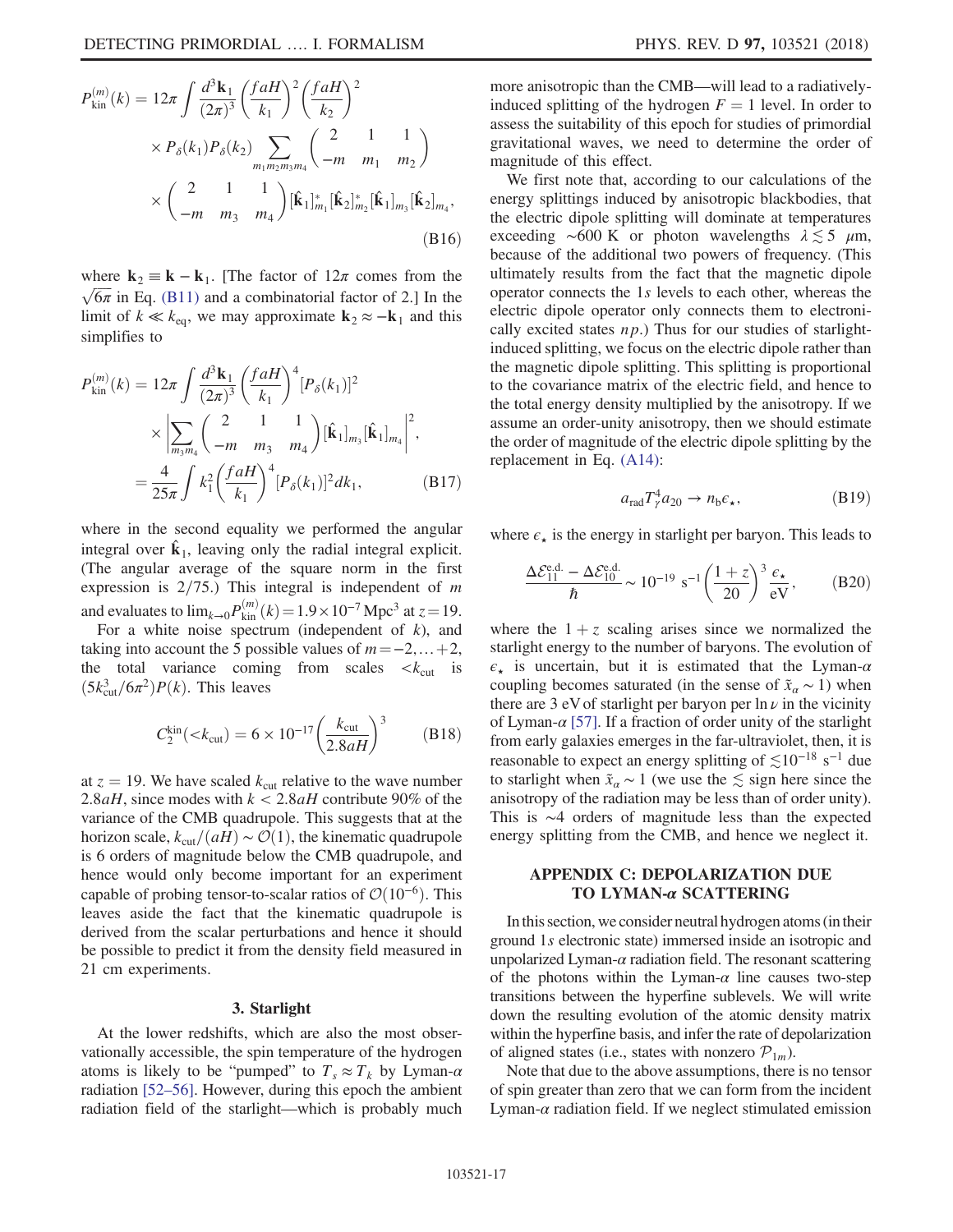$$
P_{\text{kin}}^{(m)}(k) = 12\pi \int \frac{d^3 \mathbf{k}_1}{(2\pi)^3} \left(\frac{faH}{k_1}\right)^2 \left(\frac{faH}{k_2}\right)^2
$$
  
 
$$
\times P_{\delta}(k_1) P_{\delta}(k_2) \sum_{m_1 m_2 m_3 m_4} \left(\frac{2}{-m} - \frac{1}{m_1} - \frac{1}{m_2}\right)
$$
  
 
$$
\times \left(\frac{2}{-m} - \frac{1}{m_3} - \frac{1}{m_4}\right) [\hat{\mathbf{k}}_1]_{m_1}^* [\hat{\mathbf{k}}_2]_{m_2}^* [\hat{\mathbf{k}}_1]_{m_3} [\hat{\mathbf{k}}_2]_{m_4},
$$
  
(B16)

where  $\mathbf{k}_2 \equiv \mathbf{k} - \mathbf{k}_1$ . [The factor of  $12\pi$  comes from the  $\sqrt{6\pi}$  in Eq. [\(B11\)](#page-15-1) and a combinatorial factor of 2.] In the limit of  $k \ll k_{eq}$ , we may approximate  $\mathbf{k}_2 \approx -\mathbf{k}_1$  and this simplifies to

$$
P_{\text{kin}}^{(m)}(k) = 12\pi \int \frac{d^3 \mathbf{k}_1}{(2\pi)^3} \left(\frac{f a H}{k_1}\right)^4 [P_\delta(k_1)]^2
$$
  
 
$$
\times \left| \sum_{m_3 m_4} \binom{2}{-m} \frac{1}{m_3} \frac{1}{m_4} \right] [\hat{\mathbf{k}}_1]_{m_3} [\hat{\mathbf{k}}_1]_{m_4}^2,
$$
  

$$
= \frac{4}{25\pi} \int k_1^2 \left(\frac{f a H}{k_1}\right)^4 [P_\delta(k_1)]^2 dk_1,
$$
 (B17)

where in the second equality we performed the angular integral over  $\mathbf{k}_1$ , leaving only the radial integral explicit. (The angular average of the square norm in the first expression is  $2/75$ .) This integral is independent of m and evaluates to  $\lim_{k\to 0} P_{\text{kin}}^{(m)}(k) = 1.9 \times 10^{-7} \text{ Mpc}^3$  at  $z = 19$ .<br>For a white noise spectrum (independent of k) and

For a white noise spectrum (independent of  $k$ ), and taking into account the 5 possible values of  $m = -2, \ldots +2$ , the total variance coming from scales  $\langle k_{\text{cut}} \rangle$  is  $(5k_{\text{cut}}^3/6\pi^2)P(k)$ . This leaves

$$
C_2^{\rm kin}(
$$

at  $z = 19$ . We have scaled  $k_{\text{cut}}$  relative to the wave number 2.8*aH*, since modes with  $k < 2.8$ *aH* contribute 90% of the variance of the CMB quadrupole. This suggests that at the horizon scale,  $k_{\text{cut}}/(aH) \sim \mathcal{O}(1)$ , the kinematic quadrupole is 6 orders of magnitude below the CMB quadrupole, and hence would only become important for an experiment capable of probing tensor-to-scalar ratios of  $\mathcal{O}(10^{-6})$ . This leaves aside the fact that the kinematic quadrupole is derived from the scalar perturbations and hence it should be possible to predict it from the density field measured in 21 cm experiments.

### 3. Starlight

At the lower redshifts, which are also the most observationally accessible, the spin temperature of the hydrogen atoms is likely to be "pumped" to  $T_s \approx T_k$  by Lyman- $\alpha$ radiation [52–[56\].](#page-20-11) However, during this epoch the ambient radiation field of the starlight—which is probably much more anisotropic than the CMB—will lead to a radiativelyinduced splitting of the hydrogen  $F = 1$  level. In order to assess the suitability of this epoch for studies of primordial gravitational waves, we need to determine the order of magnitude of this effect.

We first note that, according to our calculations of the energy splittings induced by anisotropic blackbodies, that the electric dipole splitting will dominate at temperatures exceeding  $~\sim 600~\text{K}$  or photon wavelengths  $\lambda \lesssim 5~\mu\text{m}$ , because of the additional two powers of frequency. (This ultimately results from the fact that the magnetic dipole operator connects the 1s levels to each other, whereas the electric dipole operator only connects them to electronically excited states  $np$ .) Thus for our studies of starlightinduced splitting, we focus on the electric dipole rather than the magnetic dipole splitting. This splitting is proportional to the covariance matrix of the electric field, and hence to the total energy density multiplied by the anisotropy. If we assume an order-unity anisotropy, then we should estimate the order of magnitude of the electric dipole splitting by the replacement in Eq. [\(A14\):](#page-13-2)

$$
a_{\text{rad}} T_{\gamma}^4 a_{20} \to n_b \epsilon_{\star}, \tag{B19}
$$

where  $\epsilon_{\star}$  is the energy in starlight per baryon. This leads to

$$
\frac{\Delta \mathcal{E}_{11}^{\text{e.d.}} - \Delta \mathcal{E}_{10}^{\text{e.d.}}}{\hbar} \sim 10^{-19} \text{ s}^{-1} \left(\frac{1+z}{20}\right)^3 \frac{\epsilon_\star}{\text{eV}},\tag{B20}
$$

where the  $1 + z$  scaling arises since we normalized the starlight energy to the number of baryons. The evolution of  $\epsilon_{\star}$  is uncertain, but it is estimated that the Lyman- $\alpha$ coupling becomes saturated (in the sense of  $\tilde{x}_\alpha \sim 1$ ) when there are 3 eV of starlight per baryon per  $\ln \nu$  in the vicinity of Lyman- $\alpha$  [\[57\].](#page-20-12) If a fraction of order unity of the starlight from early galaxies emerges in the far-ultraviolet, then, it is reasonable to expect an energy splitting of  $\lesssim 10^{-18}$  s<sup>-1</sup> due to starlight when  $\tilde{x}_\alpha \sim 1$  (we use the  $\lesssim$  sign here since the anisotropy of the radiation may be less than of order unity). This is ∼4 orders of magnitude less than the expected energy splitting from the CMB, and hence we neglect it.

### <span id="page-16-0"></span>APPENDIX C: DEPOLARIZATION DUE TO LYMAN-α SCATTERING

Inthis section, we consider neutral hydrogen atoms (in their ground 1s electronic state) immersed inside an isotropic and unpolarized Lyman- $\alpha$  radiation field. The resonant scattering of the photons within the Lyman- $\alpha$  line causes two-step transitions between the hyperfine sublevels. We will write down the resulting evolution of the atomic density matrix within the hyperfine basis, and infer the rate of depolarization of aligned states (i.e., states with nonzero  $\mathcal{P}_{1m}$ ).

Note that due to the above assumptions, there is no tensor of spin greater than zero that we can form from the incident Lyman- $\alpha$  radiation field. If we neglect stimulated emission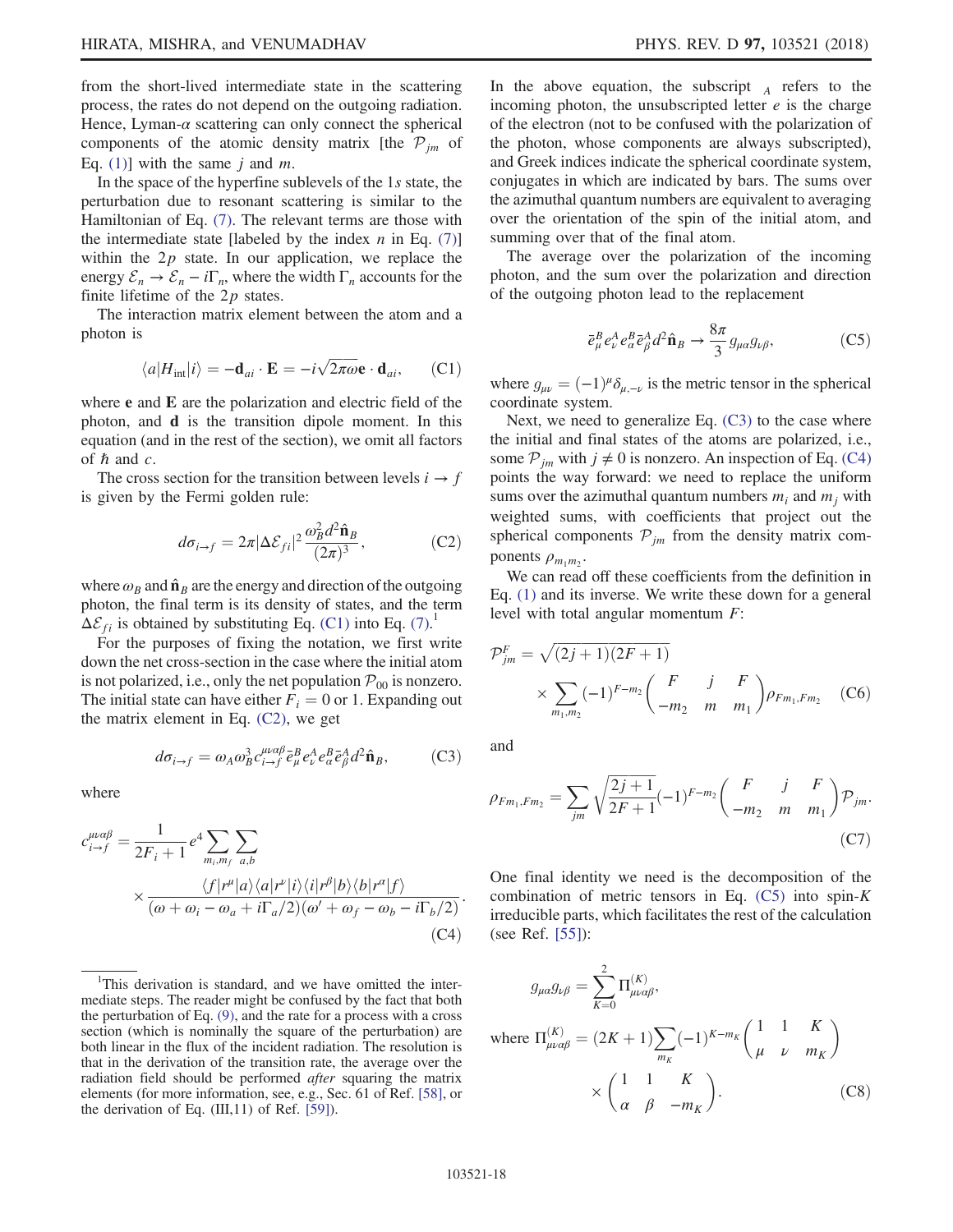from the short-lived intermediate state in the scattering process, the rates do not depend on the outgoing radiation. Hence, Lyman- $\alpha$  scattering can only connect the spherical components of the atomic density matrix [the  $P_{im}$  of Eq. [\(1\)\]](#page-1-1) with the same j and m.

In the space of the hyperfine sublevels of the 1s state, the perturbation due to resonant scattering is similar to the Hamiltonian of Eq. [\(7\)](#page-3-2). The relevant terms are those with the intermediate state [labeled by the index  $n$  in Eq. [\(7\)\]](#page-3-2) within the  $2p$  state. In our application, we replace the energy  $\mathcal{E}_n \to \mathcal{E}_n - i\Gamma_n$ , where the width  $\Gamma_n$  accounts for the finite lifetime of the  $2p$  states.

<span id="page-17-0"></span>The interaction matrix element between the atom and a photon is

$$
\langle a|H_{\text{int}}|i\rangle = -\mathbf{d}_{ai} \cdot \mathbf{E} = -i\sqrt{2\pi\omega} \mathbf{e} \cdot \mathbf{d}_{ai},\qquad(C1)
$$

where e and E are the polarization and electric field of the photon, and d is the transition dipole moment. In this equation (and in the rest of the section), we omit all factors of  $\hbar$  and  $c$ .

<span id="page-17-1"></span>The cross section for the transition between levels  $i \rightarrow f$ is given by the Fermi golden rule:

$$
d\sigma_{i\to f} = 2\pi |\Delta \mathcal{E}_{fi}|^2 \frac{\omega_B^2 d^2 \hat{\mathbf{n}}_B}{(2\pi)^3},
$$
 (C2)

where  $\omega_B$  and  $\hat{\mathbf{n}}_B$  are the energy and direction of the outgoing photon, the final term is its density of states, and the term  $\Delta \mathcal{E}_{fi}$  is obtained by substituting Eq. [\(C1\)](#page-17-0) into Eq. [\(7\).](#page-3-2)

<span id="page-17-2"></span>For the purposes of fixing the notation, we first write down the net cross-section in the case where the initial atom is not polarized, i.e., only the net population  $P_{00}$  is nonzero. The initial state can have either  $F_i = 0$  or 1. Expanding out the matrix element in Eq. [\(C2\),](#page-17-1) we get

$$
d\sigma_{i\to f} = \omega_A \omega_B^3 c_{i\to f}^{\mu\alpha\beta} \bar{e}_{\mu}^B e_{\nu}^A e_{\alpha}^B \bar{e}_{\beta}^A d^2 \hat{\mathbf{n}}_B, \qquad (C3)
$$

<span id="page-17-3"></span>where

$$
c_{i \to f}^{\mu \alpha \beta} = \frac{1}{2F_i + 1} e^4 \sum_{m_i, m_f} \sum_{a, b}
$$
  
 
$$
\times \frac{\langle f | r^{\mu} | a \rangle \langle a | r^{\nu} | i \rangle \langle i | r^{\beta} | b \rangle \langle b | r^{\alpha} | f \rangle}{(\omega + \omega_i - \omega_a + i \Gamma_a / 2)(\omega' + \omega_f - \omega_b - i \Gamma_b / 2)}.
$$
  
(C4)

<sup>1</sup>This derivation is standard, and we have omitted the intermediate steps. The reader might be confused by the fact that both the perturbation of Eq. [\(9\),](#page-4-0) and the rate for a process with a cross section (which is nominally the square of the perturbation) are both linear in the flux of the incident radiation. The resolution is that in the derivation of the transition rate, the average over the radiation field should be performed after squaring the matrix elements (for more information, see, e.g., Sec. 61 of Ref. [\[58\]](#page-20-14), or the derivation of Eq.  $(III, 11)$  of Ref.  $[59]$ ).

In the above equation, the subscript  $\overrightarrow{A}$  refers to the incoming photon, the unsubscripted letter  $e$  is the charge of the electron (not to be confused with the polarization of the photon, whose components are always subscripted), and Greek indices indicate the spherical coordinate system, conjugates in which are indicated by bars. The sums over the azimuthal quantum numbers are equivalent to averaging over the orientation of the spin of the initial atom, and summing over that of the final atom.

<span id="page-17-4"></span>The average over the polarization of the incoming photon, and the sum over the polarization and direction of the outgoing photon lead to the replacement

$$
\bar{e}^B_\mu e^A_\nu e^B_\alpha \bar{e}^A_\beta d^2 \hat{\mathbf{n}}_B \to \frac{8\pi}{3} g_{\mu\alpha} g_{\nu\beta},\tag{C5}
$$

where  $g_{\mu\nu} = (-1)^{\mu} \delta_{\mu,-\nu}$  is the metric tensor in the spherical coordinate system.

Next, we need to generalize Eq. [\(C3\)](#page-17-2) to the case where the initial and final states of the atoms are polarized, i.e., some  $P_{jm}$  with  $j \neq 0$  is nonzero. An inspection of Eq. [\(C4\)](#page-17-3) points the way forward: we need to replace the uniform sums over the azimuthal quantum numbers  $m_i$  and  $m_j$  with weighted sums, with coefficients that project out the spherical components  $P_{jm}$  from the density matrix components  $\rho_{m_1m_2}$ .

<span id="page-17-5"></span>We can read off these coefficients from the definition in Eq. [\(1\)](#page-1-1) and its inverse. We write these down for a general level with total angular momentum F:

$$
\mathcal{P}_{jm}^{F} = \sqrt{(2j+1)(2F+1)} \times \sum_{m_1,m_2} (-1)^{F-m_2} \binom{F}{-m_2} \frac{j}{m} \frac{F}{m_1} \rho_{Fm_1,Fm_2} \quad \text{(C6)}
$$

<span id="page-17-6"></span>and

$$
\rho_{Fm_1, Fm_2} = \sum_{jm} \sqrt{\frac{2j+1}{2F+1}} (-1)^{F-m_2} \begin{pmatrix} F & j & F \\ -m_2 & m & m_1 \end{pmatrix} \mathcal{P}_{jm}.
$$
\n(C7)

<span id="page-17-7"></span>One final identity we need is the decomposition of the combination of metric tensors in Eq.  $(C5)$  into spin-K irreducible parts, which facilitates the rest of the calculation (see Ref. [\[55\]\)](#page-20-13):

$$
g_{\mu\alpha}g_{\nu\beta} = \sum_{K=0}^{2} \Pi_{\mu\nu\alpha\beta}^{(K)},
$$
  
where  $\Pi_{\mu\nu\alpha\beta}^{(K)} = (2K+1)\sum_{m_K} (-1)^{K-m_K} \begin{pmatrix} 1 & 1 & K \\ \mu & \nu & m_K \end{pmatrix}$   

$$
\times \begin{pmatrix} 1 & 1 & K \\ \alpha & \beta & -m_K \end{pmatrix}.
$$
 (C8)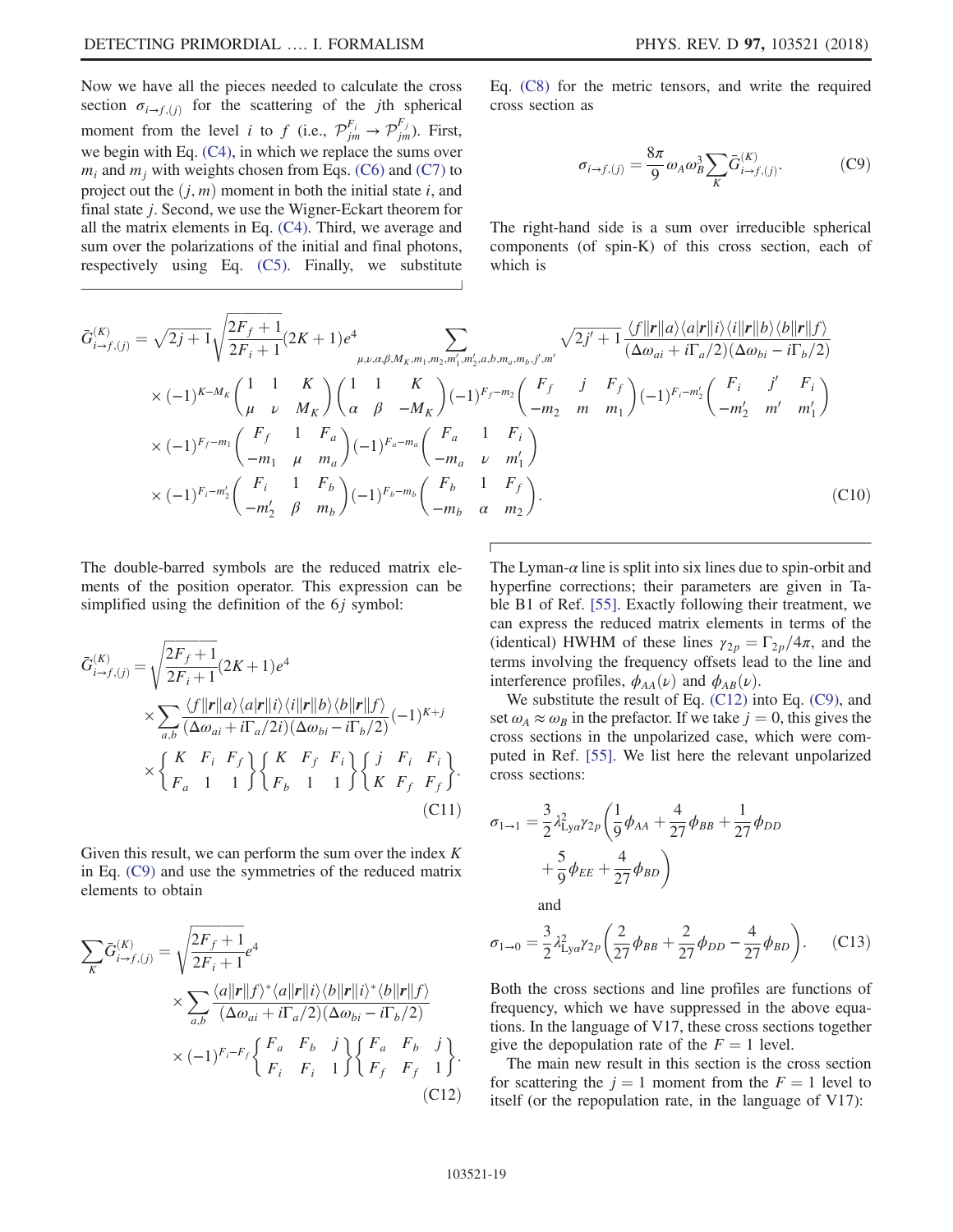Now we have all the pieces needed to calculate the cross section  $\sigma_{i\rightarrow f,(j)}$  for the scattering of the jth spherical moment from the level *i* to *f* (i.e.,  $\mathcal{P}_{jm}^{F_i} \rightarrow \mathcal{P}_{jm}^{F_j}$ ). First, we begin with Eq. [\(C4\),](#page-17-3) in which we replace the sums over  $m_i$  and  $m_j$  with weights chosen from Eqs. [\(C6\)](#page-17-5) and [\(C7\)](#page-17-6) to project out the  $(j, m)$  moment in both the initial state i, and final state j. Second, we use the Wigner-Eckart theorem for all the matrix elements in Eq. [\(C4\).](#page-17-3) Third, we average and sum over the polarizations of the initial and final photons, respectively using Eq. [\(C5\)](#page-17-4). Finally, we substitute <span id="page-18-0"></span>Eq. [\(C8\)](#page-17-7) for the metric tensors, and write the required cross section as

$$
\sigma_{i \to f,(j)} = \frac{8\pi}{9} \omega_A \omega_B^3 \sum_K \bar{G}^{(K)}_{i \to f,(j)}.
$$
 (C9)

The right-hand side is a sum over irreducible spherical components (of spin-K) of this cross section, each of which is

$$
\bar{G}_{i\to f,(j)}^{(K)} = \sqrt{2j+1} \sqrt{\frac{2F_f+1}{2F_i+1}} (2K+1)e^4 \sum_{\mu,\nu,\alpha,\beta,M_K,m_1,m_2,m'_1,m'_2,a,b,m_a,m_b,j',m'} \sqrt{2j'+1} \frac{\langle f||\mathbf{r}||a\rangle\langle a|\mathbf{r}||i\rangle\langle i||\mathbf{r}||b\rangle\langle b||\mathbf{r}||f\rangle}{(\Delta\omega_{ai}+i\Gamma_a/2)(\Delta\omega_{bi}-i\Gamma_b/2)} \times (-1)^{K-M_K} \begin{pmatrix} 1 & 1 & K \\ \mu & \nu & M_K \end{pmatrix} \begin{pmatrix} 1 & 1 & K \\ \alpha & \beta & -M_K \end{pmatrix} (-1)^{F_f-m_2} \begin{pmatrix} F_f & j & F_f \\ -m_2 & m & m_1 \end{pmatrix} (-1)^{F_i-m'_2} \begin{pmatrix} F_i & j' & F_i \\ -m'_2 & m' & m'_1 \end{pmatrix} \times (-1)^{F_f-m_1} \begin{pmatrix} F_f & 1 & F_a \\ -m_1 & \mu & m_a \end{pmatrix} (-1)^{F_a-m_a} \begin{pmatrix} F_a & 1 & F_i \\ -m_a & \nu & m'_1 \end{pmatrix} \times (-1)^{F_i-m'_2} \begin{pmatrix} F_i & 1 & F_b \\ -m'_2 & \beta & m_b \end{pmatrix} (-1)^{F_b-m_b} \begin{pmatrix} F_b & 1 & F_f \\ -m_b & \alpha & m_2 \end{pmatrix}.
$$
\n(C10)

The double-barred symbols are the reduced matrix elements of the position operator. This expression can be simplified using the definition of the 6*j* symbol:

$$
\bar{G}_{i\to f,(j)}^{(K)} = \sqrt{\frac{2F_f+1}{2F_i+1}} (2K+1)e^4
$$
\n
$$
\times \sum_{a,b} \frac{\langle f||\mathbf{r}||a\rangle \langle a|\mathbf{r}||i\rangle \langle i||\mathbf{r}||b\rangle \langle b||\mathbf{r}||f\rangle}{(\Delta \omega_{ai} + i\Gamma_a/2i)(\Delta \omega_{bi} - i\Gamma_b/2)} (-1)^{K+j}
$$
\n
$$
\times \begin{cases}\nK & F_i & F_f \\
F_a & 1 & 1\n\end{cases}\n\begin{cases}\nK & F_f & F_i \\
F_b & 1 & 1\n\end{cases}\n\begin{cases}\nj & F_i & F_i \\
K & F_f & F_f\n\end{cases}.
$$
\n(C11)

<span id="page-18-1"></span>Given this result, we can perform the sum over the index  $K$ in Eq. [\(C9\)](#page-18-0) and use the symmetries of the reduced matrix elements to obtain

$$
\sum_{K} \bar{G}_{i \to f,(j)}^{(K)} = \sqrt{\frac{2F_f + 1}{2F_i + 1}} e^4
$$
\n
$$
\times \sum_{a,b} \frac{\langle a||\mathbf{r}||f \rangle^* \langle a||\mathbf{r}||i \rangle \langle b||\mathbf{r}||i \rangle^* \langle b||\mathbf{r}||f \rangle}{(\Delta \omega_{ai} + i\Gamma_a/2)(\Delta \omega_{bi} - i\Gamma_b/2)}
$$
\n
$$
\times (-1)^{F_i - F_f} \begin{cases} F_a & F_b & j \\ F_i & F_i & 1 \end{cases} \begin{cases} F_a & F_b & j \\ F_f & F_f & 1 \end{cases} \end{cases} \tag{C12}
$$

The Lyman- $\alpha$  line is split into six lines due to spin-orbit and hyperfine corrections; their parameters are given in Table B1 of Ref. [\[55\].](#page-20-13) Exactly following their treatment, we can express the reduced matrix elements in terms of the (identical) HWHM of these lines  $\gamma_{2p}=\Gamma_{2p}/4\pi$ , and the terms involving the frequency offsets lead to the line and interference profiles,  $\phi_{AA}(\nu)$  and  $\phi_{AB}(\nu)$ .

We substitute the result of Eq. [\(C12\)](#page-18-1) into Eq. [\(C9\)](#page-18-0), and set  $\omega_A \approx \omega_B$  in the prefactor. If we take  $j = 0$ , this gives the cross sections in the unpolarized case, which were computed in Ref. [\[55\].](#page-20-13) We list here the relevant unpolarized cross sections:

$$
\sigma_{1\to 1} = \frac{3}{2} \lambda_{\text{Ly}\alpha}^2 \gamma_{2p} \left( \frac{1}{9} \phi_{AA} + \frac{4}{27} \phi_{BB} + \frac{1}{27} \phi_{DD} + \frac{5}{9} \phi_{EE} + \frac{4}{27} \phi_{BD} \right)
$$

and

$$
\sigma_{1\to 0} = \frac{3}{2} \lambda_{Lya}^2 \gamma_{2p} \left( \frac{2}{27} \phi_{BB} + \frac{2}{27} \phi_{DD} - \frac{4}{27} \phi_{BD} \right). \tag{C13}
$$

Both the cross sections and line profiles are functions of frequency, which we have suppressed in the above equations. In the language of V17, these cross sections together give the depopulation rate of the  $F = 1$  level.

The main new result in this section is the cross section for scattering the  $j = 1$  moment from the  $F = 1$  level to itself (or the repopulation rate, in the language of V17):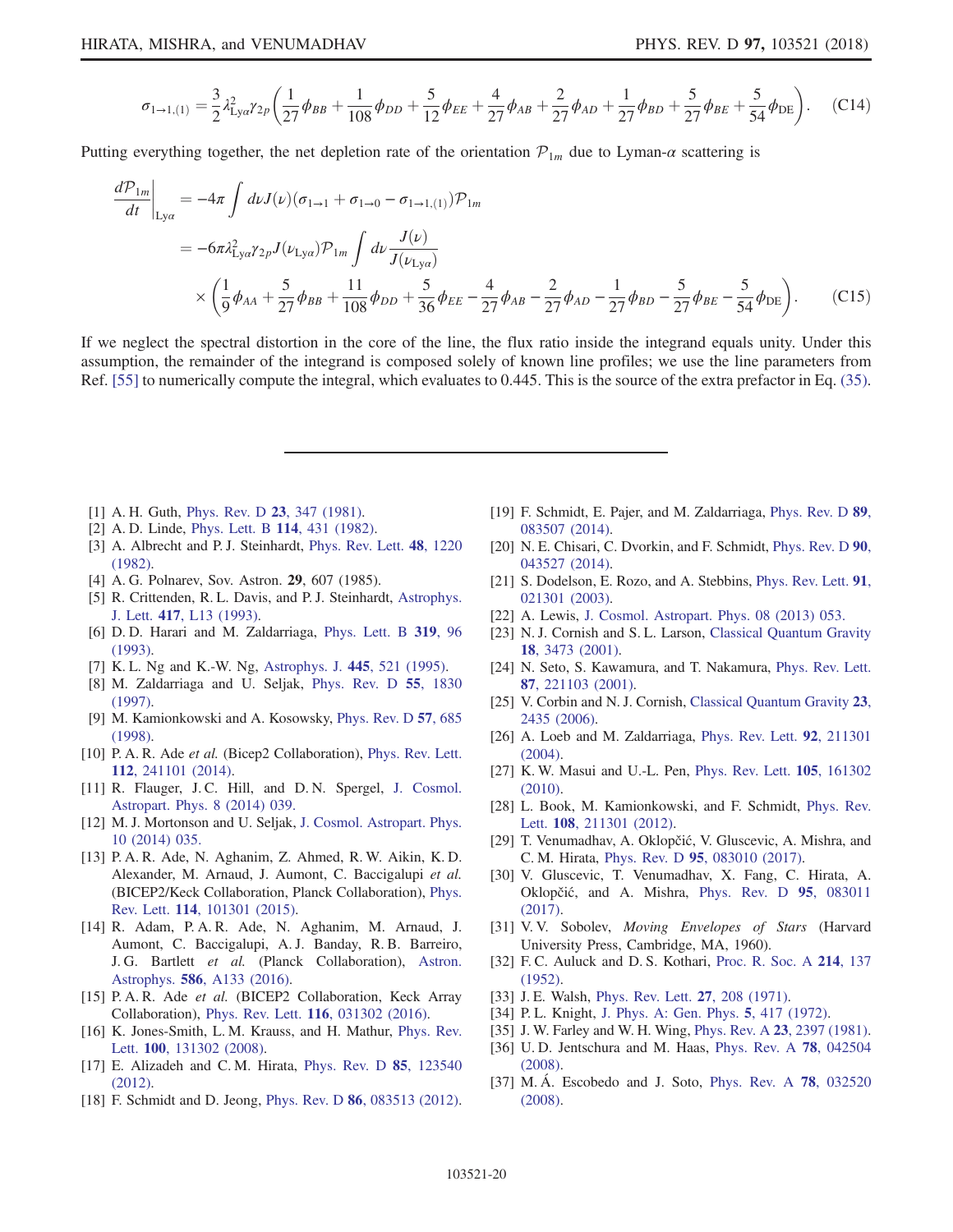$$
\sigma_{1\to1,(1)} = \frac{3}{2}\lambda_{\text{Ly}\alpha}^2 \gamma_{2p} \left(\frac{1}{27}\phi_{BB} + \frac{1}{108}\phi_{DD} + \frac{5}{12}\phi_{EE} + \frac{4}{27}\phi_{AB} + \frac{2}{27}\phi_{AD} + \frac{1}{27}\phi_{BD} + \frac{5}{27}\phi_{BE} + \frac{5}{54}\phi_{DE}\right).
$$
 (C14)

Putting everything together, the net depletion rate of the orientation  $\mathcal{P}_{1m}$  due to Lyman- $\alpha$  scattering is

$$
\frac{d\mathcal{P}_{1m}}{dt}\Big|_{\text{Ly}\alpha} = -4\pi \int d\nu J(\nu)(\sigma_{1\to 1} + \sigma_{1\to 0} - \sigma_{1\to 1,(1)})\mathcal{P}_{1m}
$$
\n
$$
= -6\pi \lambda_{\text{Ly}\alpha}^2 \gamma_{2p} J(\nu_{\text{Ly}\alpha})\mathcal{P}_{1m} \int d\nu \frac{J(\nu)}{J(\nu_{\text{Ly}\alpha})}
$$
\n
$$
\times \left(\frac{1}{9}\phi_{AA} + \frac{5}{27}\phi_{BB} + \frac{11}{108}\phi_{DD} + \frac{5}{36}\phi_{EE} - \frac{4}{27}\phi_{AB} - \frac{2}{27}\phi_{AD} - \frac{1}{27}\phi_{BD} - \frac{5}{27}\phi_{BE} - \frac{5}{54}\phi_{DE}\right).
$$
\n(C15)

If we neglect the spectral distortion in the core of the line, the flux ratio inside the integrand equals unity. Under this assumption, the remainder of the integrand is composed solely of known line profiles; we use the line parameters from Ref. [\[55\]](#page-20-13) to numerically compute the integral, which evaluates to 0.445. This is the source of the extra prefactor in Eq. [\(35\)](#page-9-1).

- <span id="page-19-0"></span>[1] A. H. Guth, [Phys. Rev. D](https://doi.org/10.1103/PhysRevD.23.347) 23, 347 (1981).
- [2] A. D. Linde, *[Phys. Lett. B](https://doi.org/10.1016/0370-2693(82)90086-7)* **114**, 431 (1982).
- [3] A. Albrecht and P.J. Steinhardt, [Phys. Rev. Lett.](https://doi.org/10.1103/PhysRevLett.48.1220) 48, 1220 [\(1982\).](https://doi.org/10.1103/PhysRevLett.48.1220)
- <span id="page-19-1"></span>[4] A. G. Polnarev, Sov. Astron. 29, 607 (1985).
- [5] R. Crittenden, R. L. Davis, and P. J. Steinhardt, [Astrophys.](https://doi.org/10.1086/187082) J. Lett. 417[, L13 \(1993\).](https://doi.org/10.1086/187082)
- [6] D. D. Harari and M. Zaldarriaga, [Phys. Lett. B](https://doi.org/10.1016/0370-2693(93)90787-I) 319, 96 [\(1993\).](https://doi.org/10.1016/0370-2693(93)90787-I)
- <span id="page-19-2"></span>[7] K. L. Ng and K.-W. Ng, [Astrophys. J.](https://doi.org/10.1086/175717) 445, 521 (1995).
- [8] M. Zaldarriaga and U. Seljak, [Phys. Rev. D](https://doi.org/10.1103/PhysRevD.55.1830) 55, 1830 [\(1997\).](https://doi.org/10.1103/PhysRevD.55.1830)
- [9] M. Kamionkowski and A. Kosowsky, [Phys. Rev. D](https://doi.org/10.1103/PhysRevD.57.685) 57, 685 [\(1998\).](https://doi.org/10.1103/PhysRevD.57.685)
- <span id="page-19-3"></span>[10] P. A. R. Ade et al. (Bicep2 Collaboration), [Phys. Rev. Lett.](https://doi.org/10.1103/PhysRevLett.112.241101) 112[, 241101 \(2014\).](https://doi.org/10.1103/PhysRevLett.112.241101)
- <span id="page-19-4"></span>[11] R. Flauger, J.C. Hill, and D.N. Spergel, [J. Cosmol.](https://doi.org/10.1088/1475-7516/2014/08/039) [Astropart. Phys. 8 \(2014\) 039.](https://doi.org/10.1088/1475-7516/2014/08/039)
- [12] M. J. Mortonson and U. Seljak, [J. Cosmol. Astropart. Phys.](https://doi.org/10.1088/1475-7516/2014/10/035) [10 \(2014\) 035.](https://doi.org/10.1088/1475-7516/2014/10/035)
- [13] P. A. R. Ade, N. Aghanim, Z. Ahmed, R. W. Aikin, K. D. Alexander, M. Arnaud, J. Aumont, C. Baccigalupi et al. (BICEP2/Keck Collaboration, Planck Collaboration), [Phys.](https://doi.org/10.1103/PhysRevLett.114.101301) Rev. Lett. 114[, 101301 \(2015\).](https://doi.org/10.1103/PhysRevLett.114.101301)
- [14] R. Adam, P. A. R. Ade, N. Aghanim, M. Arnaud, J. Aumont, C. Baccigalupi, A. J. Banday, R. B. Barreiro, J. G. Bartlett et al. (Planck Collaboration), [Astron.](https://doi.org/10.1051/0004-6361/201527616) Astrophys. 586[, A133 \(2016\).](https://doi.org/10.1051/0004-6361/201527616)
- <span id="page-19-5"></span>[15] P. A. R. Ade et al. (BICEP2 Collaboration, Keck Array Collaboration), Phys. Rev. Lett. 116[, 031302 \(2016\)](https://doi.org/10.1103/PhysRevLett.116.031302).
- <span id="page-19-6"></span>[16] K. Jones-Smith, L. M. Krauss, and H. Mathur, [Phys. Rev.](https://doi.org/10.1103/PhysRevLett.100.131302) Lett. 100[, 131302 \(2008\)](https://doi.org/10.1103/PhysRevLett.100.131302).
- <span id="page-19-7"></span>[17] E. Alizadeh and C. M. Hirata, [Phys. Rev. D](https://doi.org/10.1103/PhysRevD.85.123540) 85, 123540 [\(2012\).](https://doi.org/10.1103/PhysRevD.85.123540)
- <span id="page-19-8"></span>[18] F. Schmidt and D. Jeong, Phys. Rev. D **86**[, 083513 \(2012\).](https://doi.org/10.1103/PhysRevD.86.083513)
- [19] F. Schmidt, E. Pajer, and M. Zaldarriaga, [Phys. Rev. D](https://doi.org/10.1103/PhysRevD.89.083507) 89, [083507 \(2014\).](https://doi.org/10.1103/PhysRevD.89.083507)
- [20] N. E. Chisari, C. Dvorkin, and F. Schmidt, [Phys. Rev. D](https://doi.org/10.1103/PhysRevD.90.043527) 90, [043527 \(2014\).](https://doi.org/10.1103/PhysRevD.90.043527)
- <span id="page-19-9"></span>[21] S. Dodelson, E. Rozo, and A. Stebbins, [Phys. Rev. Lett.](https://doi.org/10.1103/PhysRevLett.91.021301) 91, [021301 \(2003\).](https://doi.org/10.1103/PhysRevLett.91.021301)
- <span id="page-19-10"></span>[22] A. Lewis, [J. Cosmol. Astropart. Phys. 08 \(2013\) 053.](https://doi.org/10.1088/1475-7516/2013/08/053)
- <span id="page-19-11"></span>[23] N. J. Cornish and S. L. Larson, [Classical Quantum Gravity](https://doi.org/10.1088/0264-9381/18/17/308) 18[, 3473 \(2001\)](https://doi.org/10.1088/0264-9381/18/17/308).
- [24] N. Seto, S. Kawamura, and T. Nakamura, [Phys. Rev. Lett.](https://doi.org/10.1103/PhysRevLett.87.221103) 87[, 221103 \(2001\).](https://doi.org/10.1103/PhysRevLett.87.221103)
- [25] V. Corbin and N. J. Cornish, [Classical Quantum Gravity](https://doi.org/10.1088/0264-9381/23/7/014) 23, [2435 \(2006\)](https://doi.org/10.1088/0264-9381/23/7/014).
- <span id="page-19-12"></span>[26] A. Loeb and M. Zaldarriaga, [Phys. Rev. Lett.](https://doi.org/10.1103/PhysRevLett.92.211301) **92**, 211301 [\(2004\).](https://doi.org/10.1103/PhysRevLett.92.211301)
- <span id="page-19-13"></span>[27] K. W. Masui and U.-L. Pen, [Phys. Rev. Lett.](https://doi.org/10.1103/PhysRevLett.105.161302) 105, 161302 [\(2010\).](https://doi.org/10.1103/PhysRevLett.105.161302)
- [28] L. Book, M. Kamionkowski, and F. Schmidt, [Phys. Rev.](https://doi.org/10.1103/PhysRevLett.108.211301) Lett. 108[, 211301 \(2012\)](https://doi.org/10.1103/PhysRevLett.108.211301).
- <span id="page-19-14"></span>[29] T. Venumadhav, A. Oklopčić, V. Gluscevic, A. Mishra, and C. M. Hirata, Phys. Rev. D 95[, 083010 \(2017\)](https://doi.org/10.1103/PhysRevD.95.083010).
- [30] V. Gluscevic, T. Venumadhav, X. Fang, C. Hirata, A. Oklopčić, and A. Mishra, [Phys. Rev. D](https://doi.org/10.1103/PhysRevD.95.083011) 95, 083011 [\(2017\).](https://doi.org/10.1103/PhysRevD.95.083011)
- <span id="page-19-15"></span>[31] V.V. Sobolev, Moving Envelopes of Stars (Harvard University Press, Cambridge, MA, 1960).
- <span id="page-19-16"></span>[32] F. C. Auluck and D. S. Kothari, [Proc. R. Soc. A](https://doi.org/10.1098/rspa.1952.0156) 214, 137 [\(1952\).](https://doi.org/10.1098/rspa.1952.0156)
- [33] J. E. Walsh, [Phys. Rev. Lett.](https://doi.org/10.1103/PhysRevLett.27.208) **27**, 208 (1971).
- [34] P.L. Knight, [J. Phys. A: Gen. Phys.](https://doi.org/10.1088/0305-4470/5/3/010) 5, 417 (1972).
- [35] J. W. Farley and W. H. Wing, Phys. Rev. A 23[, 2397 \(1981\).](https://doi.org/10.1103/PhysRevA.23.2397)
- [36] U. D. Jentschura and M. Haas, [Phys. Rev. A](https://doi.org/10.1103/PhysRevA.78.042504) 78, 042504 [\(2008\).](https://doi.org/10.1103/PhysRevA.78.042504)
- <span id="page-19-17"></span>[37] M. Á. Escobedo and J. Soto, [Phys. Rev. A](https://doi.org/10.1103/PhysRevA.78.032520) 78, 032520 [\(2008\).](https://doi.org/10.1103/PhysRevA.78.032520)